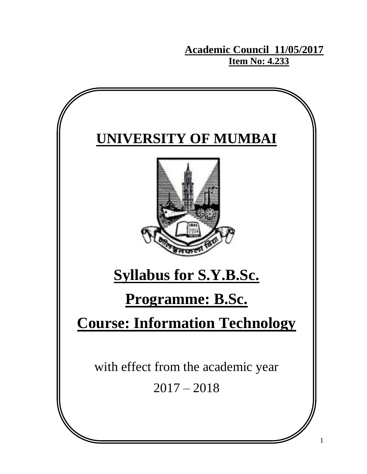**Academic Council 11/05/2017 Item No: 4.233**

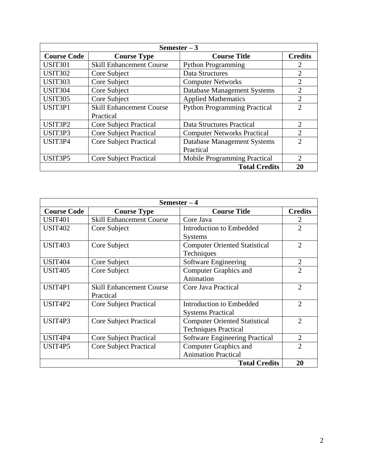| Semester $-3$                    |                                 |                                     |                |  |
|----------------------------------|---------------------------------|-------------------------------------|----------------|--|
| <b>Course Code</b>               | <b>Course Type</b>              | <b>Course Title</b>                 | <b>Credits</b> |  |
| <b>USIT301</b>                   | <b>Skill Enhancement Course</b> | <b>Python Programming</b>           | 2              |  |
| <b>USIT302</b>                   | Core Subject                    | Data Structures                     | $\overline{2}$ |  |
| <b>USIT303</b>                   | Core Subject                    | <b>Computer Networks</b>            | $\overline{2}$ |  |
| <b>USIT304</b>                   | Core Subject                    | Database Management Systems         | $\overline{2}$ |  |
| <b>USIT305</b>                   | Core Subject                    | <b>Applied Mathematics</b>          | $\overline{2}$ |  |
| USIT3P1                          | <b>Skill Enhancement Course</b> | <b>Python Programming Practical</b> | $\overline{2}$ |  |
|                                  | Practical                       |                                     |                |  |
| USIT <sub>3</sub> P <sub>2</sub> | <b>Core Subject Practical</b>   | Data Structures Practical           | $\overline{2}$ |  |
| USIT <sub>3</sub> P <sub>3</sub> | <b>Core Subject Practical</b>   | <b>Computer Networks Practical</b>  | $\overline{2}$ |  |
| USIT <sub>3P4</sub>              | <b>Core Subject Practical</b>   | Database Management Systems         | $\overline{2}$ |  |
|                                  |                                 | Practical                           |                |  |
| USIT <sub>3</sub> P5             | <b>Core Subject Practical</b>   | Mobile Programming Practical        | 2              |  |
|                                  |                                 | <b>Total Credits</b>                | 20             |  |

| Semester $-4$                    |                                                        |                                      |                             |  |
|----------------------------------|--------------------------------------------------------|--------------------------------------|-----------------------------|--|
| <b>Course Code</b>               | <b>Course Type</b>                                     | <b>Course Title</b>                  | <b>Credits</b>              |  |
| <b>USIT401</b>                   | <b>Skill Enhancement Course</b>                        | Core Java                            | 2                           |  |
| <b>USIT402</b>                   | Core Subject                                           | <b>Introduction to Embedded</b>      | $\overline{2}$              |  |
|                                  |                                                        | <b>Systems</b>                       |                             |  |
| <b>USIT403</b>                   | Core Subject                                           | <b>Computer Oriented Statistical</b> | $\overline{2}$              |  |
|                                  |                                                        | Techniques                           |                             |  |
| <b>USIT404</b>                   | Core Subject                                           | Software Engineering                 | $\mathfrak{2}$              |  |
| <b>USIT405</b>                   | Core Subject                                           | <b>Computer Graphics and</b>         | $\mathcal{D}_{\mathcal{A}}$ |  |
|                                  |                                                        | Animation                            |                             |  |
| USIT4P1                          | <b>Skill Enhancement Course</b><br>Core Java Practical |                                      | $\overline{2}$              |  |
|                                  | Practical                                              |                                      |                             |  |
| USIT <sub>4</sub> P <sub>2</sub> | <b>Core Subject Practical</b>                          | Introduction to Embedded             | $\overline{2}$              |  |
|                                  |                                                        | <b>Systems Practical</b>             |                             |  |
| USIT <sub>4P3</sub>              | <b>Core Subject Practical</b>                          | <b>Computer Oriented Statistical</b> | $\overline{2}$              |  |
|                                  |                                                        | <b>Techniques Practical</b>          |                             |  |
| USIT4P4                          | <b>Core Subject Practical</b>                          | Software Engineering Practical       | $\overline{2}$              |  |
| USIT <sub>4</sub> P5             | <b>Core Subject Practical</b>                          | <b>Computer Graphics and</b>         | $\overline{2}$              |  |
|                                  |                                                        | <b>Animation Practical</b>           |                             |  |
|                                  |                                                        | <b>Total Credits</b>                 | 20                          |  |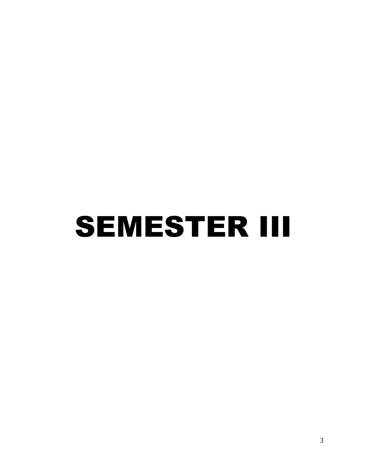## SEMESTER III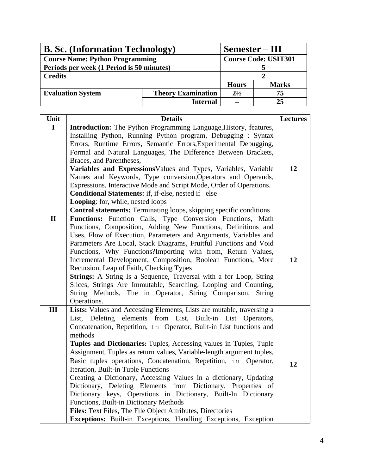| <b>B. Sc.</b> (Information Technology)                | Semester – III  |               |                             |
|-------------------------------------------------------|-----------------|---------------|-----------------------------|
| <b>Course Name: Python Programming</b>                |                 |               | <b>Course Code: USIT301</b> |
| Periods per week (1 Period is 50 minutes)             |                 |               |                             |
| <b>Credits</b>                                        |                 |               |                             |
|                                                       |                 | <b>Hours</b>  | <b>Marks</b>                |
| <b>Theory Examination</b><br><b>Evaluation System</b> |                 | $2^{1/2}$     | 75                          |
|                                                       | <b>Internal</b> | $\sim$ $\sim$ | 25                          |

| Unit         | <b>Details</b>                                                                                                                | <b>Lectures</b> |
|--------------|-------------------------------------------------------------------------------------------------------------------------------|-----------------|
| $\mathbf I$  | Introduction: The Python Programming Language, History, features,                                                             |                 |
|              | Installing Python, Running Python program, Debugging: Syntax                                                                  |                 |
|              | Errors, Runtime Errors, Semantic Errors, Experimental Debugging,                                                              |                 |
|              | Formal and Natural Languages, The Difference Between Brackets,                                                                |                 |
|              | Braces, and Parentheses,                                                                                                      |                 |
|              | Variables and ExpressionsValues and Types, Variables, Variable                                                                | 12              |
|              | Names and Keywords, Type conversion, Operators and Operands,                                                                  |                 |
|              | Expressions, Interactive Mode and Script Mode, Order of Operations.                                                           |                 |
|              | Conditional Statements: if, if-else, nested if -else                                                                          |                 |
|              | Looping: for, while, nested loops                                                                                             |                 |
|              | <b>Control statements:</b> Terminating loops, skipping specific conditions                                                    |                 |
| $\mathbf{I}$ | Functions: Function Calls, Type Conversion Functions, Math                                                                    |                 |
|              | Functions, Composition, Adding New Functions, Definitions and                                                                 |                 |
|              | Uses, Flow of Execution, Parameters and Arguments, Variables and                                                              |                 |
|              | Parameters Are Local, Stack Diagrams, Fruitful Functions and Void                                                             |                 |
|              | Functions, Why Functions?Importing with from, Return Values,                                                                  |                 |
|              | Incremental Development, Composition, Boolean Functions, More                                                                 | 12              |
|              | Recursion, Leap of Faith, Checking Types                                                                                      |                 |
|              | Strings: A String Is a Sequence, Traversal with a for Loop, String                                                            |                 |
|              | Slices, Strings Are Immutable, Searching, Looping and Counting,<br>String Methods, The in Operator, String Comparison, String |                 |
|              | Operations.                                                                                                                   |                 |
| III          | Lists: Values and Accessing Elements, Lists are mutable, traversing a                                                         |                 |
|              | List, Deleting elements from List, Built-in List Operators,                                                                   |                 |
|              | Concatenation, Repetition, In Operator, Built-in List functions and                                                           |                 |
|              | methods                                                                                                                       |                 |
|              | Tuples and Dictionaries: Tuples, Accessing values in Tuples, Tuple                                                            |                 |
|              | Assignment, Tuples as return values, Variable-length argument tuples,                                                         |                 |
|              | Basic tuples operations, Concatenation, Repetition, in Operator,                                                              |                 |
|              | Iteration, Built-in Tuple Functions                                                                                           | 12              |
|              | Creating a Dictionary, Accessing Values in a dictionary, Updating                                                             |                 |
|              | Dictionary, Deleting Elements from Dictionary, Properties of                                                                  |                 |
|              | Dictionary keys, Operations in Dictionary, Built-In Dictionary                                                                |                 |
|              | Functions, Built-in Dictionary Methods                                                                                        |                 |
|              | Files: Text Files, The File Object Attributes, Directories                                                                    |                 |
|              | Exceptions: Built-in Exceptions, Handling Exceptions, Exception                                                               |                 |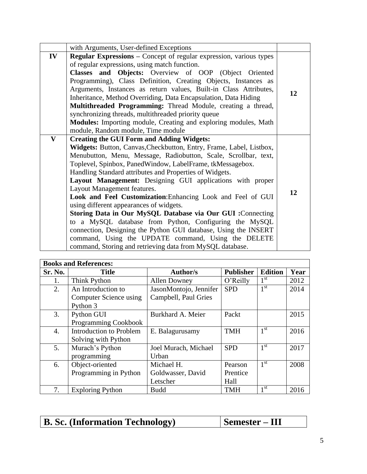|              | with Arguments, User-defined Exceptions                                                                                                                                                                                                                                                                                                                                                                                                                                                                                                                                                                                                                                                                                                                                                                                                  |    |
|--------------|------------------------------------------------------------------------------------------------------------------------------------------------------------------------------------------------------------------------------------------------------------------------------------------------------------------------------------------------------------------------------------------------------------------------------------------------------------------------------------------------------------------------------------------------------------------------------------------------------------------------------------------------------------------------------------------------------------------------------------------------------------------------------------------------------------------------------------------|----|
| IV           | Regular Expressions - Concept of regular expression, various types<br>of regular expressions, using match function.<br>Classes and Objects: Overview of OOP (Object Oriented<br>Programming), Class Definition, Creating Objects, Instances as<br>Arguments, Instances as return values, Built-in Class Attributes,<br>Inheritance, Method Overriding, Data Encapsulation, Data Hiding<br>Multithreaded Programming: Thread Module, creating a thread,<br>synchronizing threads, multithreaded priority queue<br><b>Modules:</b> Importing module, Creating and exploring modules, Math<br>module, Random module, Time module                                                                                                                                                                                                            | 12 |
| $\mathbf{V}$ | <b>Creating the GUI Form and Adding Widgets:</b><br>Widgets: Button, Canvas, Checkbutton, Entry, Frame, Label, Listbox,<br>Menubutton, Menu, Message, Radiobutton, Scale, Scrollbar, text,<br>Toplevel, Spinbox, PanedWindow, LabelFrame, tkMessagebox.<br>Handling Standard attributes and Properties of Widgets.<br>Layout Management: Designing GUI applications with proper<br>Layout Management features.<br>Look and Feel Customization: Enhancing Look and Feel of GUI<br>using different appearances of widgets.<br>Storing Data in Our MySQL Database via Our GUI : Connecting<br>to a MySQL database from Python, Configuring the MySQL<br>connection, Designing the Python GUI database, Using the INSERT<br>command, Using the UPDATE command, Using the DELETE<br>command, Storing and retrieving data from MySQL database. | 12 |

| <b>Books and References:</b> |                             |                        |                  |                 |      |
|------------------------------|-----------------------------|------------------------|------------------|-----------------|------|
| Sr. No.                      | <b>Title</b>                | <b>Author/s</b>        | <b>Publisher</b> | <b>Edition</b>  | Year |
| 1.                           | Think Python                | <b>Allen Downey</b>    | O'Reilly         | 1 <sup>st</sup> | 2012 |
| 2.                           | An Introduction to          | JasonMontojo, Jennifer | <b>SPD</b>       | 1 <sup>st</sup> | 2014 |
|                              | Computer Science using      | Campbell, Paul Gries   |                  |                 |      |
|                              | Python 3                    |                        |                  |                 |      |
| 3.                           | Python GUI                  | Burkhard A. Meier      | Packt            |                 | 2015 |
|                              | <b>Programming Cookbook</b> |                        |                  |                 |      |
| 4.                           | Introduction to Problem     | E. Balagurusamy        | <b>TMH</b>       | 1 <sup>st</sup> | 2016 |
|                              | Solving with Python         |                        |                  |                 |      |
| 5.                           | Murach's Python             | Joel Murach, Michael   | <b>SPD</b>       | 1 <sup>st</sup> | 2017 |
|                              | programming                 | Urban                  |                  |                 |      |
| 6.                           | Object-oriented             | Michael H.             | Pearson          | 1 <sup>st</sup> | 2008 |
|                              | Programming in Python       | Goldwasser, David      | Prentice         |                 |      |
|                              |                             | Letscher               | Hall             |                 |      |
| 7.                           | <b>Exploring Python</b>     | <b>Budd</b>            | <b>TMH</b>       | 1 <sup>st</sup> | 2016 |

| <b>B. Sc. (Information Technology)</b> | Semester – III |
|----------------------------------------|----------------|
|                                        |                |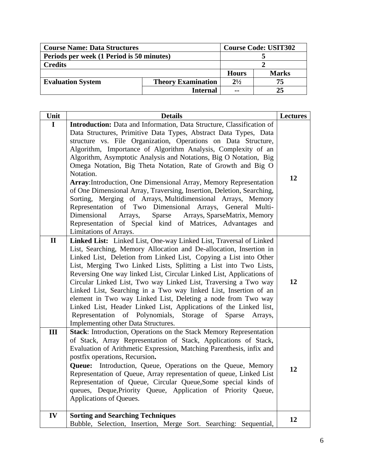| <b>Course Name: Data Structures</b>                   |                 |               | <b>Course Code: USIT302</b> |  |
|-------------------------------------------------------|-----------------|---------------|-----------------------------|--|
| Periods per week (1 Period is 50 minutes)             |                 |               |                             |  |
| <b>Credits</b>                                        |                 |               |                             |  |
|                                                       |                 | <b>Hours</b>  | <b>Marks</b>                |  |
| <b>Evaluation System</b><br><b>Theory Examination</b> |                 | $2^{1/2}$     | 75                          |  |
|                                                       | <b>Internal</b> | $\sim$ $\sim$ | 25                          |  |

| Unit         | <b>Details</b>                                                                                                                                                                                                                                                                                                                                                                                                                                                                                                                                                                                                                                                                                                                                                                                                                                                      | <b>Lectures</b> |
|--------------|---------------------------------------------------------------------------------------------------------------------------------------------------------------------------------------------------------------------------------------------------------------------------------------------------------------------------------------------------------------------------------------------------------------------------------------------------------------------------------------------------------------------------------------------------------------------------------------------------------------------------------------------------------------------------------------------------------------------------------------------------------------------------------------------------------------------------------------------------------------------|-----------------|
| $\mathbf I$  | Introduction: Data and Information, Data Structure, Classification of<br>Data Structures, Primitive Data Types, Abstract Data Types, Data<br>structure vs. File Organization, Operations on Data Structure,<br>Algorithm, Importance of Algorithm Analysis, Complexity of an<br>Algorithm, Asymptotic Analysis and Notations, Big O Notation, Big<br>Omega Notation, Big Theta Notation, Rate of Growth and Big O<br>Notation.<br>Array: Introduction, One Dimensional Array, Memory Representation<br>of One Dimensional Array, Traversing, Insertion, Deletion, Searching,<br>Sorting, Merging of Arrays, Multidimensional Arrays, Memory<br>Representation of Two Dimensional Arrays, General Multi-<br>Sparse<br>Arrays, SparseMatrix, Memory<br>Dimensional<br>Arrays,<br>Representation of Special kind of Matrices, Advantages and<br>Limitations of Arrays. | 12              |
| $\mathbf{I}$ | Linked List: Linked List, One-way Linked List, Traversal of Linked<br>List, Searching, Memory Allocation and De-allocation, Insertion in<br>Linked List, Deletion from Linked List, Copying a List into Other<br>List, Merging Two Linked Lists, Splitting a List into Two Lists,<br>Reversing One way linked List, Circular Linked List, Applications of<br>Circular Linked List, Two way Linked List, Traversing a Two way<br>Linked List, Searching in a Two way linked List, Insertion of an<br>element in Two way Linked List, Deleting a node from Two way<br>Linked List, Header Linked List, Applications of the Linked list,<br>Representation of Polynomials, Storage of Sparse<br>Arrays,<br>Implementing other Data Structures.                                                                                                                         | 12              |
| III          | Stack: Introduction, Operations on the Stack Memory Representation<br>of Stack, Array Representation of Stack, Applications of Stack,<br>Evaluation of Arithmetic Expression, Matching Parenthesis, infix and<br>postfix operations, Recursion.<br>Queue: Introduction, Queue, Operations on the Queue, Memory<br>Representation of Queue, Array representation of queue, Linked List<br>Representation of Queue, Circular Queue, Some special kinds of<br>queues, Deque, Priority Queue, Application of Priority Queue,<br>Applications of Queues.                                                                                                                                                                                                                                                                                                                 | 12              |
| IV           | <b>Sorting and Searching Techniques</b><br>Bubble, Selection, Insertion, Merge Sort. Searching: Sequential,                                                                                                                                                                                                                                                                                                                                                                                                                                                                                                                                                                                                                                                                                                                                                         | 12              |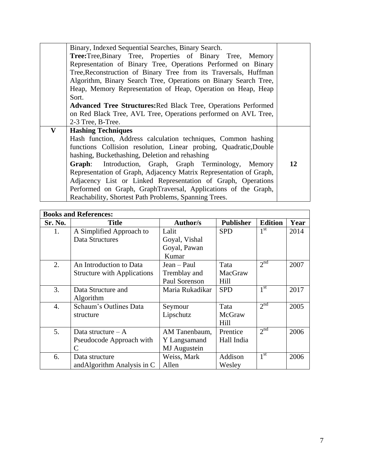|              | Binary, Indexed Sequential Searches, Binary Search.                   |    |  |
|--------------|-----------------------------------------------------------------------|----|--|
|              | Tree:Tree,Binary Tree, Properties of Binary Tree, Memory              |    |  |
|              | Representation of Binary Tree, Operations Performed on Binary         |    |  |
|              | Tree, Reconstruction of Binary Tree from its Traversals, Huffman      |    |  |
|              | Algorithm, Binary Search Tree, Operations on Binary Search Tree,      |    |  |
|              | Heap, Memory Representation of Heap, Operation on Heap, Heap          |    |  |
|              | Sort.                                                                 |    |  |
|              | <b>Advanced Tree Structures: Red Black Tree, Operations Performed</b> |    |  |
|              | on Red Black Tree, AVL Tree, Operations performed on AVL Tree,        |    |  |
|              | 2-3 Tree, B-Tree.                                                     |    |  |
| $\mathbf{V}$ | <b>Hashing Techniques</b>                                             |    |  |
|              | Hash function, Address calculation techniques, Common hashing         |    |  |
|              | functions Collision resolution, Linear probing, Quadratic, Double     |    |  |
|              | hashing, Buckethashing, Deletion and rehashing                        |    |  |
|              | Graph: Introduction, Graph, Graph Terminology, Memory                 | 12 |  |
|              | Representation of Graph, Adjacency Matrix Representation of Graph,    |    |  |
|              | Adjacency List or Linked Representation of Graph, Operations          |    |  |
|              | Performed on Graph, GraphTraversal, Applications of the Graph,        |    |  |
|              | Reachability, Shortest Path Problems, Spanning Trees.                 |    |  |

| <b>Books and References:</b> |                                    |                 |                  |                 |      |
|------------------------------|------------------------------------|-----------------|------------------|-----------------|------|
| Sr. No.                      | <b>Title</b>                       | <b>Author/s</b> | <b>Publisher</b> | <b>Edition</b>  | Year |
| 1.                           | A Simplified Approach to           | Lalit           | <b>SPD</b>       | 1 <sup>st</sup> | 2014 |
|                              | Data Structures                    | Goyal, Vishal   |                  |                 |      |
|                              |                                    | Goyal, Pawan    |                  |                 |      |
|                              |                                    | Kumar           |                  |                 |      |
| 2.                           | An Introduction to Data            | Jean – Paul     | Tata             | 2 <sup>nd</sup> | 2007 |
|                              | <b>Structure with Applications</b> | Tremblay and    | MacGraw          |                 |      |
|                              |                                    | Paul Sorenson   | Hill             |                 |      |
| 3.                           | Data Structure and                 | Maria Rukadikar | <b>SPD</b>       | 1 <sup>st</sup> | 2017 |
|                              | Algorithm                          |                 |                  |                 |      |
| 4.                           | Schaum's Outlines Data             | Seymour         | Tata             | 2 <sup>nd</sup> | 2005 |
|                              | structure                          | Lipschutz       | McGraw           |                 |      |
|                              |                                    |                 | Hill             |                 |      |
| 5.                           | Data structure $-A$                | AM Tanenbaum,   | Prentice         | 2 <sup>nd</sup> | 2006 |
|                              | Pseudocode Approach with           | Y Langsamand    | Hall India       |                 |      |
|                              | $\mathsf{C}$                       | MJ Augustein    |                  |                 |      |
| 6.                           | Data structure                     | Weiss, Mark     | Addison          | 1 <sup>st</sup> | 2006 |
|                              | and Algorithm Analysis in C        | Allen           | Wesley           |                 |      |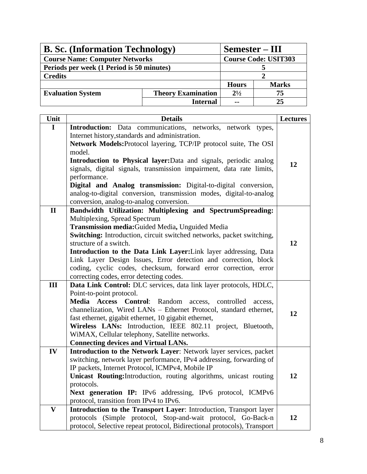| <b>B. Sc.</b> (Information Technology)                |                 | Semester – III |                             |
|-------------------------------------------------------|-----------------|----------------|-----------------------------|
| <b>Course Name: Computer Networks</b>                 |                 |                | <b>Course Code: USIT303</b> |
| Periods per week (1 Period is 50 minutes)             |                 |                |                             |
| <b>Credits</b>                                        |                 |                |                             |
|                                                       |                 | <b>Hours</b>   | <b>Marks</b>                |
| <b>Evaluation System</b><br><b>Theory Examination</b> |                 | $2^{1/2}$      | 75                          |
|                                                       | <b>Internal</b> | $\sim$ $\sim$  | 25                          |

| Unit         | <b>Details</b>                                                                                                         | <b>Lectures</b> |
|--------------|------------------------------------------------------------------------------------------------------------------------|-----------------|
| $\mathbf I$  | <b>Introduction:</b> Data communications, networks, network types,                                                     |                 |
|              | Internet history, standards and administration.                                                                        |                 |
|              | Network Models: Protocol layering, TCP/IP protocol suite, The OSI                                                      |                 |
|              | model.                                                                                                                 |                 |
|              | Introduction to Physical layer: Data and signals, periodic analog                                                      | 12              |
|              | signals, digital signals, transmission impairment, data rate limits,<br>performance.                                   |                 |
|              | Digital and Analog transmission: Digital-to-digital conversion,                                                        |                 |
|              | analog-to-digital conversion, transmission modes, digital-to-analog                                                    |                 |
|              | conversion, analog-to-analog conversion.                                                                               |                 |
| $\mathbf{I}$ | Bandwidth Utilization: Multiplexing and SpectrumSpreading:                                                             |                 |
|              | Multiplexing, Spread Spectrum                                                                                          |                 |
|              | Transmission media: Guided Media, Unguided Media                                                                       |                 |
|              | <b>Switching:</b> Introduction, circuit switched networks, packet switching,                                           |                 |
|              | structure of a switch.                                                                                                 | 12              |
|              | Introduction to the Data Link Layer: Link layer addressing, Data                                                       |                 |
|              | Link Layer Design Issues, Error detection and correction, block                                                        |                 |
|              | coding, cyclic codes, checksum, forward error correction, error                                                        |                 |
| III          | correcting codes, error detecting codes.<br>Data Link Control: DLC services, data link layer protocols, HDLC,          |                 |
|              | Point-to-point protocol.                                                                                               |                 |
|              | Media Access Control: Random<br>access,<br>controlled access,                                                          |                 |
|              | channelization, Wired LANs - Ethernet Protocol, standard ethernet,                                                     |                 |
|              | fast ethernet, gigabit ethernet, 10 gigabit ethernet,                                                                  | 12              |
|              | Wireless LANs: Introduction, IEEE 802.11 project, Bluetooth,                                                           |                 |
|              | WiMAX, Cellular telephony, Satellite networks.                                                                         |                 |
|              | <b>Connecting devices and Virtual LANs.</b>                                                                            |                 |
| IV           | Introduction to the Network Layer: Network layer services, packet                                                      |                 |
|              | switching, network layer performance, IPv4 addressing, forwarding of                                                   |                 |
|              | IP packets, Internet Protocol, ICMPv4, Mobile IP<br>Unicast Routing: Introduction, routing algorithms, unicast routing | 12              |
|              | protocols.                                                                                                             |                 |
|              | Next generation IP: IPv6 addressing, IPv6 protocol, ICMPv6                                                             |                 |
|              | protocol, transition from IPv4 to IPv6.                                                                                |                 |
| $\mathbf{V}$ | Introduction to the Transport Layer: Introduction, Transport layer                                                     |                 |
|              | protocols (Simple protocol, Stop-and-wait protocol, Go-Back-n                                                          | 12              |
|              | protocol, Selective repeat protocol, Bidirectional protocols), Transport                                               |                 |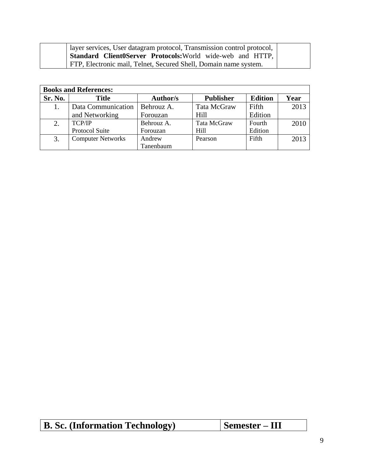| layer services, User datagram protocol, Transmission control protocol, |  |
|------------------------------------------------------------------------|--|
| <b>Standard Client0Server Protocols:</b> World wide-web and HTTP,      |  |
| FTP, Electronic mail, Telnet, Secured Shell, Domain name system.       |  |

| <b>Books and References:</b> |                          |            |                  |                |      |  |
|------------------------------|--------------------------|------------|------------------|----------------|------|--|
| Sr. No.                      | <b>Title</b>             | Author/s   | <b>Publisher</b> | <b>Edition</b> | Year |  |
|                              | Data Communication       | Behrouz A. | Tata McGraw      | Fifth          | 2013 |  |
|                              | and Networking           | Forouzan   | Hill             | Edition        |      |  |
| 2.                           | <b>TCP/IP</b>            | Behrouz A. | Tata McGraw      | Fourth         | 2010 |  |
|                              | Protocol Suite           | Forouzan   | Hill             | Edition        |      |  |
| 3.                           | <b>Computer Networks</b> | Andrew     | Pearson          | Fifth          | 2013 |  |
|                              |                          | Tanenbaum  |                  |                |      |  |

| <b>B. Sc. (Information Technology)</b> | Semester – III |
|----------------------------------------|----------------|
|----------------------------------------|----------------|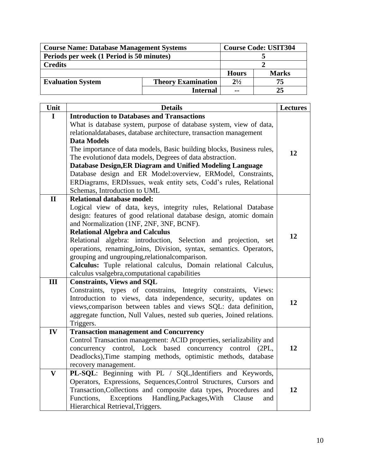| <b>Course Name: Database Management Systems</b>       | <b>Course Code: USIT304</b> |               |              |
|-------------------------------------------------------|-----------------------------|---------------|--------------|
| Periods per week (1 Period is 50 minutes)             |                             |               |              |
| <b>Credits</b>                                        |                             |               |              |
|                                                       |                             |               | <b>Marks</b> |
| <b>Theory Examination</b><br><b>Evaluation System</b> |                             | $2^{1/2}$     | 75           |
|                                                       | <b>Internal</b>             | $\sim$ $\sim$ | 25           |

| Unit                    | <b>Details</b>                                                                     | <b>Lectures</b> |
|-------------------------|------------------------------------------------------------------------------------|-----------------|
| $\mathbf I$             | <b>Introduction to Databases and Transactions</b>                                  |                 |
|                         | What is database system, purpose of database system, view of data,                 |                 |
|                         | relationaldatabases, database architecture, transaction management                 |                 |
|                         | <b>Data Models</b>                                                                 |                 |
|                         | The importance of data models, Basic building blocks, Business rules,              | 12              |
|                         | The evolution of data models, Degrees of data abstraction.                         |                 |
|                         | Database Design, ER Diagram and Unified Modeling Language                          |                 |
|                         | Database design and ER Model:overview, ERModel, Constraints,                       |                 |
|                         | ERDiagrams, ERDIssues, weak entity sets, Codd's rules, Relational                  |                 |
|                         | Schemas, Introduction to UML                                                       |                 |
| $\mathbf{I}$            | <b>Relational database model:</b>                                                  |                 |
|                         | Logical view of data, keys, integrity rules, Relational Database                   |                 |
|                         | design: features of good relational database design, atomic domain                 |                 |
|                         | and Normalization (1NF, 2NF, 3NF, BCNF).                                           |                 |
|                         | <b>Relational Algebra and Calculus</b>                                             | 12              |
|                         | Relational algebra: introduction, Selection and projection, set                    |                 |
|                         | operations, renaming, Joins, Division, syntax, semantics. Operators,               |                 |
|                         | grouping and ungrouping, relational comparison.                                    |                 |
|                         | Calculus: Tuple relational calculus, Domain relational Calculus,                   |                 |
|                         | calculus vsalgebra, computational capabilities                                     |                 |
| III                     | <b>Constraints, Views and SQL</b>                                                  |                 |
|                         | Constraints, types of constrains, Integrity constraints, Views:                    |                 |
|                         | Introduction to views, data independence, security, updates on                     | 12              |
|                         | views, comparison between tables and views SQL: data definition,                   |                 |
|                         | aggregate function, Null Values, nested sub queries, Joined relations.             |                 |
|                         | Triggers.                                                                          |                 |
| IV                      | <b>Transaction management and Concurrency</b>                                      |                 |
|                         | Control Transaction management: ACID properties, serializability and<br>control    | 12              |
|                         | concurrency control, Lock based concurrency<br>(2PL,                               |                 |
|                         | Deadlocks), Time stamping methods, optimistic methods, database                    |                 |
| $\overline{\mathbf{V}}$ | recovery management.<br>PL-SQL: Beginning with PL / SQL, Identifiers and Keywords, |                 |
|                         | Operators, Expressions, Sequences, Control Structures, Cursors and                 |                 |
|                         | Transaction, Collections and composite data types, Procedures and                  | 12              |
|                         | Exceptions Handling, Packages, With<br>Functions,<br>Clause<br>and                 |                 |
|                         | Hierarchical Retrieval, Triggers.                                                  |                 |
|                         |                                                                                    |                 |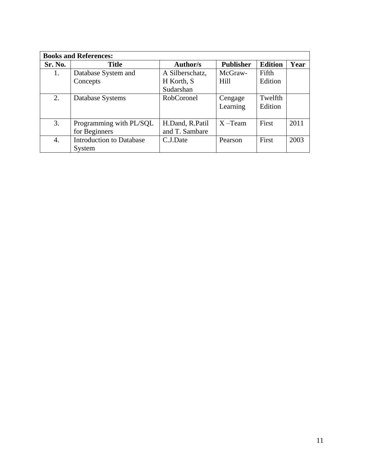| <b>Books and References:</b> |                                 |                   |                  |                |      |
|------------------------------|---------------------------------|-------------------|------------------|----------------|------|
| Sr. No.                      | <b>Title</b>                    | <b>Author/s</b>   | <b>Publisher</b> | <b>Edition</b> | Year |
| 1.                           | Database System and             | A Silberschatz,   | McGraw-          | Fifth          |      |
|                              | Concepts                        | H Korth, S        | Hill             | Edition        |      |
|                              |                                 | Sudarshan         |                  |                |      |
| 2.                           | Database Systems                | <b>RobCoronel</b> | Cengage          | Twelfth        |      |
|                              |                                 |                   | Learning         | Edition        |      |
|                              |                                 |                   |                  |                |      |
| 3.                           | Programming with PL/SQL         | H.Dand, R.Patil   | $X - Team$       | First          | 2011 |
|                              | for Beginners                   | and T. Sambare    |                  |                |      |
| 4.                           | <b>Introduction to Database</b> | C.J.Date          | Pearson          | First          | 2003 |
|                              | System                          |                   |                  |                |      |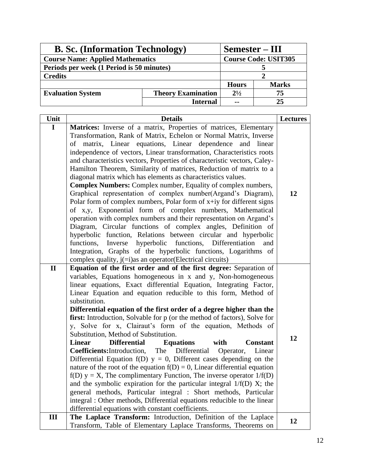| <b>B. Sc.</b> (Information Technology)                | Semester – III              |               |    |
|-------------------------------------------------------|-----------------------------|---------------|----|
| <b>Course Name: Applied Mathematics</b>               | <b>Course Code: USIT305</b> |               |    |
| Periods per week (1 Period is 50 minutes)             |                             |               |    |
| <b>Credits</b>                                        |                             |               |    |
|                                                       | <b>Hours</b>                | <b>Marks</b>  |    |
| <b>Evaluation System</b><br><b>Theory Examination</b> |                             | $2^{1/2}$     | 75 |
|                                                       | <b>Internal</b>             | $\sim$ $\sim$ | 25 |

| Unit         | <b>Details</b>                                                                                                                                                                                                                                                                                                                                                                                                                                                                                                                                                                                                                                                                                                                                                                                                                                                                                                                                                                                                                                                                                                                                                                                                                                          | <b>Lectures</b> |
|--------------|---------------------------------------------------------------------------------------------------------------------------------------------------------------------------------------------------------------------------------------------------------------------------------------------------------------------------------------------------------------------------------------------------------------------------------------------------------------------------------------------------------------------------------------------------------------------------------------------------------------------------------------------------------------------------------------------------------------------------------------------------------------------------------------------------------------------------------------------------------------------------------------------------------------------------------------------------------------------------------------------------------------------------------------------------------------------------------------------------------------------------------------------------------------------------------------------------------------------------------------------------------|-----------------|
| $\mathbf I$  | Matrices: Inverse of a matrix, Properties of matrices, Elementary<br>Transformation, Rank of Matrix, Echelon or Normal Matrix, Inverse<br>of matrix, Linear equations, Linear dependence<br>and linear<br>independence of vectors, Linear transformation, Characteristics roots<br>and characteristics vectors, Properties of characteristic vectors, Caley-<br>Hamilton Theorem, Similarity of matrices, Reduction of matrix to a<br>diagonal matrix which has elements as characteristics values.<br><b>Complex Numbers:</b> Complex number, Equality of complex numbers,<br>Graphical representation of complex number(Argand's Diagram),<br>Polar form of complex numbers, Polar form of $x+iy$ for different signs<br>of x,y, Exponential form of complex numbers, Mathematical<br>operation with complex numbers and their representation on Argand's<br>Diagram, Circular functions of complex angles, Definition of<br>hyperbolic function, Relations between circular and hyperbolic<br>Inverse hyperbolic functions, Differentiation<br>functions,<br>and<br>Integration, Graphs of the hyperbolic functions, Logarithms of<br>complex quality, j(=i)as an operator(Electrical circuits)                                                      | 12              |
| $\mathbf{I}$ | Equation of the first order and of the first degree: Separation of<br>variables, Equations homogeneous in x and y, Non-homogeneous<br>linear equations, Exact differential Equation, Integrating Factor,<br>Linear Equation and equation reducible to this form, Method of<br>substitution.<br>Differential equation of the first order of a degree higher than the<br>first: Introduction, Solvable for p (or the method of factors), Solve for<br>y, Solve for x, Clairaut's form of the equation, Methods of<br>Substitution, Method of Substitution.<br><b>Differential</b><br><b>Equations</b><br><b>Linear</b><br>with<br><b>Constant</b><br>The Differential<br><b>Coefficients:</b> Introduction,<br>Operator,<br>Linear<br>Differential Equation $f(D)$ $y = 0$ , Different cases depending on the<br>nature of the root of the equation $f(D) = 0$ , Linear differential equation<br>$f(D)$ y = X, The complimentary Function, The inverse operator 1/ $f(D)$<br>and the symbolic expiration for the particular integral $1/f(D)$ X; the<br>general methods, Particular integral : Short methods, Particular<br>integral: Other methods, Differential equations reducible to the linear<br>differential equations with constant coefficients. | 12              |
| Ш            | The Laplace Transform: Introduction, Definition of the Laplace<br>Transform, Table of Elementary Laplace Transforms, Theorems on                                                                                                                                                                                                                                                                                                                                                                                                                                                                                                                                                                                                                                                                                                                                                                                                                                                                                                                                                                                                                                                                                                                        | 12              |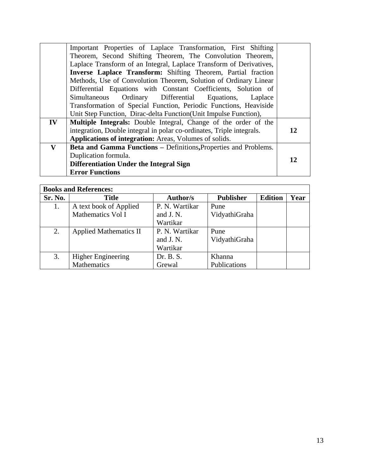|               | Important Properties of Laplace Transformation, First Shifting        |    |  |  |
|---------------|-----------------------------------------------------------------------|----|--|--|
|               | Theorem, Second Shifting Theorem, The Convolution Theorem,            |    |  |  |
|               | Laplace Transform of an Integral, Laplace Transform of Derivatives,   |    |  |  |
|               | Inverse Laplace Transform: Shifting Theorem, Partial fraction         |    |  |  |
|               | Methods, Use of Convolution Theorem, Solution of Ordinary Linear      |    |  |  |
|               | Differential Equations with Constant Coefficients, Solution of        |    |  |  |
|               | Simultaneous Ordinary Differential Equations, Laplace                 |    |  |  |
|               | Transformation of Special Function, Periodic Functions, Heaviside     |    |  |  |
|               | Unit Step Function, Dirac-delta Function (Unit Impulse Function),     |    |  |  |
| $\mathbf{IV}$ | Multiple Integrals: Double Integral, Change of the order of the       |    |  |  |
|               | integration, Double integral in polar co-ordinates, Triple integrals. | 12 |  |  |
|               | Applications of integration: Areas, Volumes of solids.                |    |  |  |
| $\mathbf{V}$  | Beta and Gamma Functions - Definitions, Properties and Problems.      |    |  |  |
|               | Duplication formula.                                                  | 12 |  |  |
|               | Differentiation Under the Integral Sign                               |    |  |  |
|               | <b>Error Functions</b>                                                |    |  |  |

| <b>Books and References:</b> |                               |                |                  |                |      |
|------------------------------|-------------------------------|----------------|------------------|----------------|------|
| Sr. No.                      | <b>Title</b>                  | Author/s       | <b>Publisher</b> | <b>Edition</b> | Year |
| 1.                           | A text book of Applied        | P. N. Wartikar | Pune             |                |      |
|                              | Mathematics Vol I             | and J.N.       | VidyathiGraha    |                |      |
|                              |                               | Wartikar       |                  |                |      |
| 2.                           | <b>Applied Mathematics II</b> | P. N. Wartikar | Pune             |                |      |
|                              |                               | and J.N.       | VidyathiGraha    |                |      |
|                              |                               | Wartikar       |                  |                |      |
| 3.                           | <b>Higher Engineering</b>     | Dr. B. S.      | Khanna           |                |      |
|                              | Mathematics                   | Grewal         | Publications     |                |      |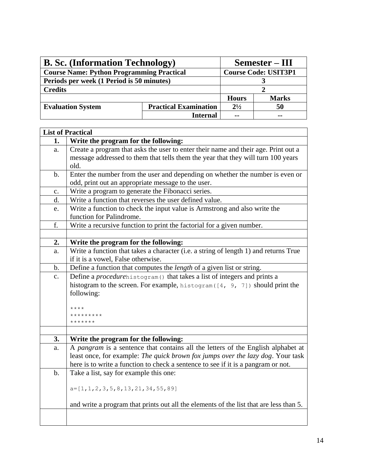| <b>B. Sc.</b> (Information Technology)                   | Semester – III              |              |    |
|----------------------------------------------------------|-----------------------------|--------------|----|
| <b>Course Name: Python Programming Practical</b>         | <b>Course Code: USIT3P1</b> |              |    |
| Periods per week (1 Period is 50 minutes)                |                             |              |    |
| <b>Credits</b>                                           |                             |              |    |
|                                                          | <b>Hours</b>                | <b>Marks</b> |    |
| <b>Practical Examination</b><br><b>Evaluation System</b> |                             | $2^{1/2}$    | 50 |
|                                                          | <b>Internal</b>             |              |    |

|                | <b>List of Practical</b>                                                                              |
|----------------|-------------------------------------------------------------------------------------------------------|
| 1.             | Write the program for the following:                                                                  |
| a.             | Create a program that asks the user to enter their name and their age. Print out a                    |
|                | message addressed to them that tells them the year that they will turn 100 years                      |
|                | old.                                                                                                  |
| $\mathbf b$ .  | Enter the number from the user and depending on whether the number is even or                         |
|                | odd, print out an appropriate message to the user.                                                    |
| $\mathbf{C}$ . | Write a program to generate the Fibonacci series.                                                     |
| d.             | Write a function that reverses the user defined value.                                                |
| e.             | Write a function to check the input value is Armstrong and also write the<br>function for Palindrome. |
| f.             | Write a recursive function to print the factorial for a given number.                                 |
|                |                                                                                                       |
| 2.             | Write the program for the following:                                                                  |
| a.             | Write a function that takes a character (i.e. a string of length 1) and returns True                  |
|                | if it is a vowel, False otherwise.                                                                    |
| $\mathbf b$ .  | Define a function that computes the length of a given list or string.                                 |
| $C_{\bullet}$  | Define a <i>procedurehistogram</i> () that takes a list of integers and prints a                      |
|                | histogram to the screen. For example, histogram ([4, 9, 7]) should print the                          |
|                | following:                                                                                            |
|                |                                                                                                       |
|                | $***$ * * *                                                                                           |
|                | *********<br>*******                                                                                  |
|                |                                                                                                       |
| 3.             | Write the program for the following:                                                                  |
| a.             | A pangram is a sentence that contains all the letters of the English alphabet at                      |
|                | least once, for example: The quick brown fox jumps over the lazy dog. Your task                       |
|                | here is to write a function to check a sentence to see if it is a pangram or not.                     |
| $b$ .          | Take a list, say for example this one:                                                                |
|                |                                                                                                       |
|                | $a=[1, 1, 2, 3, 5, 8, 13, 21, 34, 55, 89]$                                                            |
|                |                                                                                                       |
|                | and write a program that prints out all the elements of the list that are less than 5.                |
|                |                                                                                                       |
|                |                                                                                                       |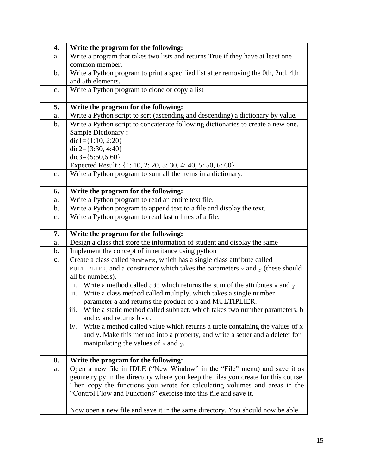| 4.             | Write the program for the following:                                                     |
|----------------|------------------------------------------------------------------------------------------|
| a.             | Write a program that takes two lists and returns True if they have at least one          |
|                | common member.                                                                           |
| $\mathbf{b}$ . | Write a Python program to print a specified list after removing the 0th, 2nd, 4th        |
|                | and 5th elements.                                                                        |
| c.             | Write a Python program to clone or copy a list                                           |
|                |                                                                                          |
| 5.             | Write the program for the following:                                                     |
| a.             | Write a Python script to sort (ascending and descending) a dictionary by value.          |
| b.             | Write a Python script to concatenate following dictionaries to create a new one.         |
|                | Sample Dictionary:                                                                       |
|                | $dic1 = \{1:10, 2:20\}$                                                                  |
|                | $dic2 = \{3:30, 4:40\}$                                                                  |
|                | $dic3 = \{5:50,6:60\}$                                                                   |
|                | Expected Result : {1: 10, 2: 20, 3: 30, 4: 40, 5: 50, 6: 60}                             |
| c.             | Write a Python program to sum all the items in a dictionary.                             |
|                |                                                                                          |
| 6.             | Write the program for the following:                                                     |
| a.             | Write a Python program to read an entire text file.                                      |
| b.             | Write a Python program to append text to a file and display the text.                    |
| $\mathbf{c}$ . | Write a Python program to read last n lines of a file.                                   |
|                |                                                                                          |
| 7.             | Write the program for the following:                                                     |
| a.             | Design a class that store the information of student and display the same                |
| b.             | Implement the concept of inheritance using python                                        |
| $\mathbf{c}$ . | Create a class called Numbers, which has a single class attribute called                 |
|                | MULTIPLIER, and a constructor which takes the parameters $x$ and $y$ (these should       |
|                |                                                                                          |
|                | all be numbers).                                                                         |
|                | Write a method called $\alpha$ dd which returns the sum of the attributes x and y.<br>i. |
|                | Write a class method called multiply, which takes a single number<br>ii.                 |
|                | parameter a and returns the product of a and MULTIPLIER.                                 |
|                | Write a static method called subtract, which takes two number parameters, b<br>111.      |
|                | and c, and returns b - c.                                                                |
|                | Write a method called value which returns a tuple containing the values of x<br>iv.      |
|                | and y. Make this method into a property, and write a setter and a deleter for            |
|                | manipulating the values of $x$ and $y$ .                                                 |
|                |                                                                                          |
| 8.             | Write the program for the following:                                                     |
| a.             | Open a new file in IDLE ("New Window" in the "File" menu) and save it as                 |
|                | geometry.py in the directory where you keep the files you create for this course.        |
|                | Then copy the functions you wrote for calculating volumes and areas in the               |
|                | "Control Flow and Functions" exercise into this file and save it.                        |
|                | Now open a new file and save it in the same directory. You should now be able            |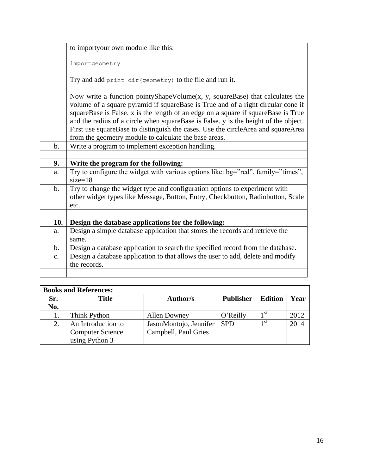|                | to importyour own module like this:                                                                                                                                                                                                                                                                                                                                                                                                                                                                    |
|----------------|--------------------------------------------------------------------------------------------------------------------------------------------------------------------------------------------------------------------------------------------------------------------------------------------------------------------------------------------------------------------------------------------------------------------------------------------------------------------------------------------------------|
|                | importgeometry                                                                                                                                                                                                                                                                                                                                                                                                                                                                                         |
|                | Try and add print dir (geometry) to the file and run it.                                                                                                                                                                                                                                                                                                                                                                                                                                               |
|                | Now write a function pointy Shape Volume $(x, y, \text{ squareBase})$ that calculates the<br>volume of a square pyramid if squareBase is True and of a right circular cone if<br>squareBase is False. x is the length of an edge on a square if squareBase is True<br>and the radius of a circle when squareBase is False. y is the height of the object.<br>First use squareBase to distinguish the cases. Use the circleArea and squareArea<br>from the geometry module to calculate the base areas. |
| $\mathbf{b}$ . | Write a program to implement exception handling.                                                                                                                                                                                                                                                                                                                                                                                                                                                       |
|                |                                                                                                                                                                                                                                                                                                                                                                                                                                                                                                        |
|                |                                                                                                                                                                                                                                                                                                                                                                                                                                                                                                        |
| 9.             | Write the program for the following:                                                                                                                                                                                                                                                                                                                                                                                                                                                                   |
| a.             | Try to configure the widget with various options like: bg="red", family="times",<br>$size=18$                                                                                                                                                                                                                                                                                                                                                                                                          |
| $\mathbf b$ .  | Try to change the widget type and configuration options to experiment with<br>other widget types like Message, Button, Entry, Checkbutton, Radiobutton, Scale<br>etc.                                                                                                                                                                                                                                                                                                                                  |
|                |                                                                                                                                                                                                                                                                                                                                                                                                                                                                                                        |
| 10.            | Design the database applications for the following:                                                                                                                                                                                                                                                                                                                                                                                                                                                    |
| a.             | Design a simple database application that stores the records and retrieve the                                                                                                                                                                                                                                                                                                                                                                                                                          |
|                | same.                                                                                                                                                                                                                                                                                                                                                                                                                                                                                                  |
| $\mathbf{b}$ . | Design a database application to search the specified record from the database.                                                                                                                                                                                                                                                                                                                                                                                                                        |
| $C_{\bullet}$  | Design a database application to that allows the user to add, delete and modify<br>the records.                                                                                                                                                                                                                                                                                                                                                                                                        |

| <b>Books and References:</b> |                         |                        |                  |                 |      |
|------------------------------|-------------------------|------------------------|------------------|-----------------|------|
| Sr.                          | <b>Title</b>            | <b>Author/s</b>        | <b>Publisher</b> | <b>Edition</b>  | Year |
| No.                          |                         |                        |                  |                 |      |
|                              | Think Python            | <b>Allen Downey</b>    | O'Reilly         | 1 st            | 2012 |
|                              | An Introduction to      | JasonMontojo, Jennifer | <b>SPD</b>       | 1 <sup>st</sup> | 2014 |
|                              | <b>Computer Science</b> | Campbell, Paul Gries   |                  |                 |      |
|                              | using Python 3          |                        |                  |                 |      |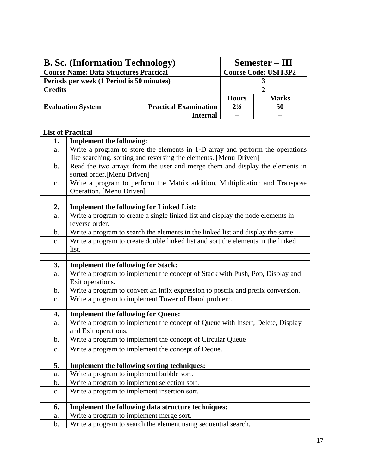| <b>B. Sc. (Information Technology)</b>        |                              | Semester – III |              |
|-----------------------------------------------|------------------------------|----------------|--------------|
| <b>Course Name: Data Structures Practical</b> | <b>Course Code: USIT3P2</b>  |                |              |
| Periods per week (1 Period is 50 minutes)     |                              |                |              |
| <b>Credits</b>                                |                              |                |              |
|                                               |                              | <b>Hours</b>   | <b>Marks</b> |
| <b>Evaluation System</b>                      | <b>Practical Examination</b> | $2^{1/2}$      | 50           |
|                                               | <b>Internal</b>              | $\sim$ $\sim$  |              |

|                | <b>List of Practical</b>                                                         |
|----------------|----------------------------------------------------------------------------------|
| 1.             | <b>Implement the following:</b>                                                  |
| a.             | Write a program to store the elements in 1-D array and perform the operations    |
|                | like searching, sorting and reversing the elements. [Menu Driven]                |
| $\mathbf b$ .  | Read the two arrays from the user and merge them and display the elements in     |
|                | sorted order.[Menu Driven]                                                       |
| $\mathbf{c}$ . | Write a program to perform the Matrix addition, Multiplication and Transpose     |
|                | Operation. [Menu Driven]                                                         |
|                |                                                                                  |
| 2.             | <b>Implement the following for Linked List:</b>                                  |
| a.             | Write a program to create a single linked list and display the node elements in  |
|                | reverse order.                                                                   |
| $\mathbf b$ .  | Write a program to search the elements in the linked list and display the same   |
| $\mathbf{c}$ . | Write a program to create double linked list and sort the elements in the linked |
|                | list.                                                                            |
|                |                                                                                  |
| 3.             | <b>Implement the following for Stack:</b>                                        |
| a.             | Write a program to implement the concept of Stack with Push, Pop, Display and    |
|                | Exit operations.                                                                 |
| $\mathbf b$ .  | Write a program to convert an infix expression to postfix and prefix conversion. |
| c.             | Write a program to implement Tower of Hanoi problem.                             |
| 4.             | <b>Implement the following for Queue:</b>                                        |
|                | Write a program to implement the concept of Queue with Insert, Delete, Display   |
| a.             | and Exit operations.                                                             |
| $\mathbf b$ .  | Write a program to implement the concept of Circular Queue                       |
|                |                                                                                  |
| $\mathbf{c}$ . | Write a program to implement the concept of Deque.                               |
|                | <b>Implement the following sorting techniques:</b>                               |
| 5.             |                                                                                  |
| a.             | Write a program to implement bubble sort.                                        |
| b.             | Write a program to implement selection sort.                                     |
| c.             | Write a program to implement insertion sort.                                     |
|                |                                                                                  |
| 6.             | Implement the following data structure techniques:                               |
| a.             | Write a program to implement merge sort.                                         |
| $\mathbf b$ .  | Write a program to search the element using sequential search.                   |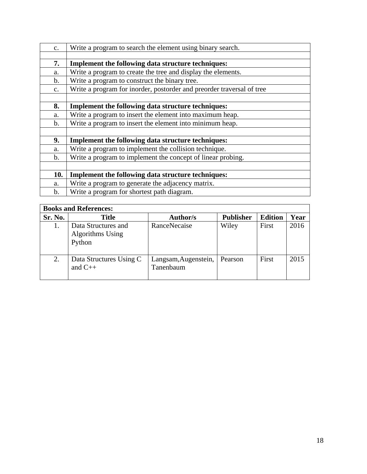| $\mathbf{C}$ . | Write a program to search the element using binary search.            |
|----------------|-----------------------------------------------------------------------|
|                |                                                                       |
| 7.             | <b>Implement the following data structure techniques:</b>             |
| a.             | Write a program to create the tree and display the elements.          |
| $\mathbf{b}$ . | Write a program to construct the binary tree.                         |
| $C_{\bullet}$  | Write a program for inorder, postorder and preorder traversal of tree |
|                |                                                                       |
| 8.             | Implement the following data structure techniques:                    |
| a.             | Write a program to insert the element into maximum heap.              |
| $\mathbf{b}$ . | Write a program to insert the element into minimum heap.              |
|                |                                                                       |
| 9.             | <b>Implement the following data structure techniques:</b>             |
| a.             | Write a program to implement the collision technique.                 |
| $\mathbf{b}$ . | Write a program to implement the concept of linear probing.           |
|                |                                                                       |
| 10.            | <b>Implement the following data structure techniques:</b>             |
| a.             | Write a program to generate the adjacency matrix.                     |
| $\mathbf{b}$ . | Write a program for shortest path diagram.                            |

| <b>Books and References:</b> |                                                   |                                   |                  |                |      |
|------------------------------|---------------------------------------------------|-----------------------------------|------------------|----------------|------|
| Sr. No.                      | <b>Title</b>                                      | <b>Author/s</b>                   | <b>Publisher</b> | <b>Edition</b> | Year |
|                              | Data Structures and<br>Algorithms Using<br>Python | RanceNecaise                      | Wiley            | First          | 2016 |
| 2.                           | Data Structures Using C<br>and $C_{++}$           | Langsam, Augenstein,<br>Tanenbaum | Pearson          | First          | 2015 |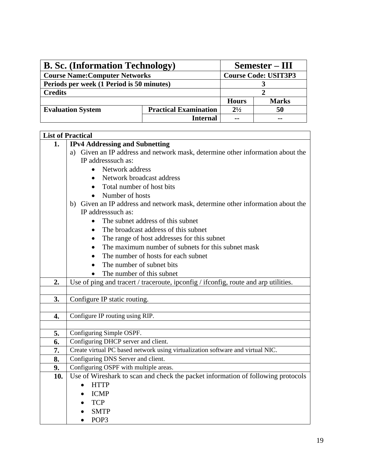| <b>B. Sc.</b> (Information Technology)    |                              | Semester – III |              |
|-------------------------------------------|------------------------------|----------------|--------------|
| <b>Course Name: Computer Networks</b>     | <b>Course Code: USIT3P3</b>  |                |              |
| Periods per week (1 Period is 50 minutes) |                              |                |              |
| <b>Credits</b>                            |                              |                |              |
|                                           |                              | <b>Hours</b>   | <b>Marks</b> |
| <b>Evaluation System</b>                  | <b>Practical Examination</b> | $2^{1/2}$      | 50           |
|                                           | <b>Internal</b>              | $\sim$ $\sim$  |              |

|                | <b>List of Practical</b>                                                            |  |  |  |
|----------------|-------------------------------------------------------------------------------------|--|--|--|
| $\mathbf{1}$ . | <b>IPv4 Addressing and Subnetting</b>                                               |  |  |  |
|                | Given an IP address and network mask, determine other information about the<br>a)   |  |  |  |
|                | IP addresssuch as:                                                                  |  |  |  |
|                | Network address                                                                     |  |  |  |
|                | Network broadcast address                                                           |  |  |  |
|                | Total number of host bits                                                           |  |  |  |
|                | Number of hosts                                                                     |  |  |  |
|                | b) Given an IP address and network mask, determine other information about the      |  |  |  |
|                | IP addresssuch as:                                                                  |  |  |  |
|                | The subnet address of this subnet                                                   |  |  |  |
|                | The broadcast address of this subnet                                                |  |  |  |
|                | The range of host addresses for this subnet                                         |  |  |  |
|                | The maximum number of subnets for this subnet mask                                  |  |  |  |
|                | The number of hosts for each subnet                                                 |  |  |  |
|                | The number of subnet bits                                                           |  |  |  |
|                | The number of this subnet                                                           |  |  |  |
| 2.             | Use of ping and tracert / traceroute, ipconfig / ifconfig, route and arp utilities. |  |  |  |
|                |                                                                                     |  |  |  |
| 3.             | Configure IP static routing.                                                        |  |  |  |
|                |                                                                                     |  |  |  |
| 4.             | Configure IP routing using RIP.                                                     |  |  |  |
|                |                                                                                     |  |  |  |
| 5.             | Configuring Simple OSPF.                                                            |  |  |  |
| 6.             | Configuring DHCP server and client.                                                 |  |  |  |
| 7.             | Create virtual PC based network using virtualization software and virtual NIC.      |  |  |  |
| 8.             | Configuring DNS Server and client.                                                  |  |  |  |
| 9.             | Configuring OSPF with multiple areas.                                               |  |  |  |
| 10.            | Use of Wireshark to scan and check the packet information of following protocols    |  |  |  |
|                | <b>HTTP</b><br>$\bullet$                                                            |  |  |  |
|                | <b>ICMP</b>                                                                         |  |  |  |
|                | <b>TCP</b>                                                                          |  |  |  |
|                | <b>SMTP</b>                                                                         |  |  |  |
|                | POP <sub>3</sub>                                                                    |  |  |  |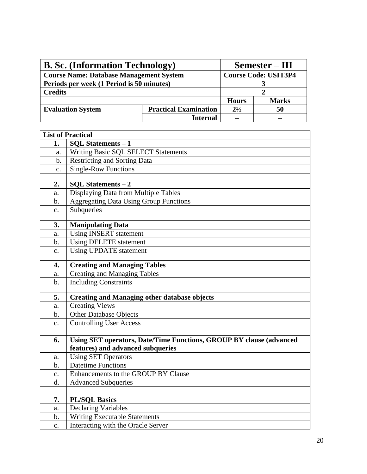| <b>B. Sc.</b> (Information Technology)         | Semester – III               |               |              |
|------------------------------------------------|------------------------------|---------------|--------------|
| <b>Course Name: Database Management System</b> | <b>Course Code: USIT3P4</b>  |               |              |
| Periods per week (1 Period is 50 minutes)      |                              |               |              |
| <b>Credits</b>                                 |                              |               |              |
|                                                |                              | <b>Hours</b>  | <b>Marks</b> |
| <b>Evaluation System</b>                       | <b>Practical Examination</b> | $2^{1/2}$     | 50           |
|                                                | <b>Internal</b>              | $\sim$ $\sim$ |              |

|                | <b>List of Practical</b>                                            |
|----------------|---------------------------------------------------------------------|
| 1.             | <b>SQL Statements - 1</b>                                           |
| a.             | Writing Basic SQL SELECT Statements                                 |
| $\mathbf b$ .  | <b>Restricting and Sorting Data</b>                                 |
| c.             | <b>Single-Row Functions</b>                                         |
|                |                                                                     |
| 2.             | <b>SQL Statements - 2</b>                                           |
| a.             | Displaying Data from Multiple Tables                                |
| b.             | <b>Aggregating Data Using Group Functions</b>                       |
| $\mathbf{c}$ . | Subqueries                                                          |
|                |                                                                     |
| 3.             | <b>Manipulating Data</b>                                            |
| a.             | <b>Using INSERT statement</b>                                       |
| b.             | <b>Using DELETE statement</b>                                       |
| c.             | <b>Using UPDATE statement</b>                                       |
| 4.             | <b>Creating and Managing Tables</b>                                 |
| a.             | <b>Creating and Managing Tables</b>                                 |
| b.             | <b>Including Constraints</b>                                        |
|                |                                                                     |
| 5.             | <b>Creating and Managing other database objects</b>                 |
| a.             | <b>Creating Views</b>                                               |
| b.             | Other Database Objects                                              |
| $\mathbf{c}$ . | <b>Controlling User Access</b>                                      |
|                |                                                                     |
| 6.             | Using SET operators, Date/Time Functions, GROUP BY clause (advanced |
|                | features) and advanced subqueries                                   |
| a.             | <b>Using SET Operators</b>                                          |
| b.             | <b>Datetime Functions</b>                                           |
| $\mathbf{c}$ . | Enhancements to the GROUP BY Clause                                 |
| d.             | <b>Advanced Subqueries</b>                                          |
|                |                                                                     |
| 7.             | <b>PL/SQL Basics</b>                                                |
| a.             | <b>Declaring Variables</b>                                          |
| $\mathbf b$ .  | <b>Writing Executable Statements</b>                                |
| $\mathbf{c}$ . | Interacting with the Oracle Server                                  |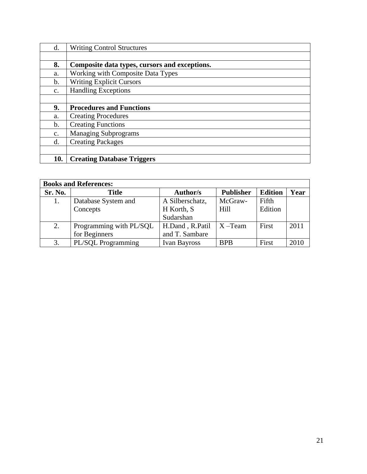| d.             | <b>Writing Control Structures</b>             |
|----------------|-----------------------------------------------|
|                |                                               |
| 8.             | Composite data types, cursors and exceptions. |
| a.             | <b>Working with Composite Data Types</b>      |
| $\mathbf b$ .  | <b>Writing Explicit Cursors</b>               |
| $\mathbf{C}$ . | <b>Handling Exceptions</b>                    |
|                |                                               |
| 9.             | <b>Procedures and Functions</b>               |
| a.             | <b>Creating Procedures</b>                    |
| $\mathbf b$ .  | <b>Creating Functions</b>                     |
| $\mathbf{C}$ . | <b>Managing Subprograms</b>                   |
| d.             | <b>Creating Packages</b>                      |
|                |                                               |
|                |                                               |

| <b>Books and References:</b> |                         |                     |                  |                |      |  |
|------------------------------|-------------------------|---------------------|------------------|----------------|------|--|
| Sr. No.                      | <b>Title</b>            | <b>Author/s</b>     | <b>Publisher</b> | <b>Edition</b> | Year |  |
| 1.                           | Database System and     | A Silberschatz,     | McGraw-          | Fifth          |      |  |
|                              | Concepts                | H Korth, S          | Hill             | Edition        |      |  |
|                              |                         | Sudarshan           |                  |                |      |  |
| 2.                           | Programming with PL/SQL | H.Dand, R.Patil     | $X - Team$       | First          | 2011 |  |
|                              | for Beginners           | and T. Sambare      |                  |                |      |  |
| 3.                           | PL/SQL Programming      | <b>Ivan Bayross</b> | <b>BPB</b>       | First          | 2010 |  |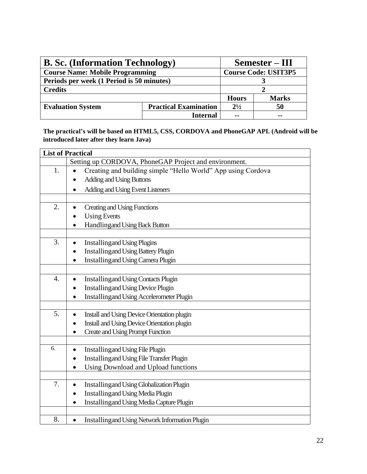| <b>B. Sc.</b> (Information Technology)    | Semester – III               |                             |               |
|-------------------------------------------|------------------------------|-----------------------------|---------------|
| <b>Course Name: Mobile Programming</b>    |                              | <b>Course Code: USIT3P5</b> |               |
| Periods per week (1 Period is 50 minutes) |                              |                             |               |
| <b>Credits</b>                            |                              |                             |               |
|                                           |                              | <b>Hours</b>                | <b>Marks</b>  |
| <b>Evaluation System</b>                  | <b>Practical Examination</b> | $2^{1/2}$                   | 50            |
|                                           | <b>Internal</b>              | $\sim$ $\sim$               | $\sim$ $\sim$ |

**The practical's will be based on HTML5, CSS, CORDOVA and PhoneGAP API. (Android will be introduced later after they learn Java)**

|                  | <b>List of Practical</b>                                     |
|------------------|--------------------------------------------------------------|
|                  | Setting up CORDOVA, PhoneGAP Project and environment.        |
| 1.               | Creating and building simple "Hello World" App using Cordova |
|                  | <b>Adding and Using Buttons</b>                              |
|                  | Adding and Using Event Listeners                             |
|                  |                                                              |
| 2.               | <b>Creating and Using Functions</b>                          |
|                  | <b>Using Events</b>                                          |
|                  | <b>Handlingand Using Back Button</b>                         |
|                  |                                                              |
| 3.               | <b>Installing and Using Plugins</b>                          |
|                  | <b>Installing and Using Battery Plugin</b>                   |
|                  | <b>Installingand Using Camera Plugin</b>                     |
|                  |                                                              |
| $\overline{4}$ . | <b>Installing and Using Contacts Plugin</b>                  |
|                  | <b>Installing and Using Device Plugin</b><br>$\bullet$       |
|                  | <b>Installing and Using Accelerometer Plugin</b>             |
| 5.               | Install and Using Device Orientation plugin                  |
|                  | Install and Using Device Orientation plugin                  |
|                  | <b>Create and Using Prompt Function</b>                      |
|                  | $\bullet$                                                    |
| 6.               | <b>Installing and Using File Plugin</b>                      |
|                  | <b>Installing and Using File Transfer Plugin</b>             |
|                  | Using Download and Upload functions                          |
|                  |                                                              |
| 7.               | <b>Installing and Using Globalization Plugin</b>             |
|                  | <b>Installing and Using Media Plugin</b>                     |
|                  | <b>Installingand Using Media Capture Plugin</b>              |
|                  |                                                              |
| 8.               | <b>Installing and Using Network Information Plugin</b>       |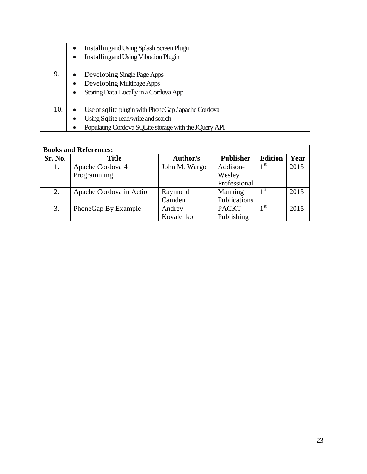|     | <b>Installing and Using Splash Screen Plugin</b><br>$\bullet$ |
|-----|---------------------------------------------------------------|
|     | <b>Installingand Using Vibration Plugin</b>                   |
|     |                                                               |
| 9.  | Developing Single Page Apps                                   |
|     | Developing Multipage Apps                                     |
|     | Storing Data Locally in a Cordova App                         |
|     |                                                               |
| 10. | Use of sqlite plugin with PhoneGap / apache Cordova           |
|     | Using Sqlite read/write and search                            |
|     | Populating Cordova SQLite storage with the JQuery API         |

|         | <b>Books and References:</b> |                 |                  |                |      |  |
|---------|------------------------------|-----------------|------------------|----------------|------|--|
| Sr. No. | <b>Title</b>                 | <b>Author/s</b> | <b>Publisher</b> | <b>Edition</b> | Year |  |
| 1.      | Apache Cordova 4             | John M. Wargo   | Addison-         | 1 st           | 2015 |  |
|         | Programming                  |                 | Wesley           |                |      |  |
|         |                              |                 | Professional     |                |      |  |
| 2.      | Apache Cordova in Action     | Raymond         | Manning          | 1 st           | 2015 |  |
|         |                              | Camden          | Publications     |                |      |  |
| 3.      | PhoneGap By Example          | Andrey          | <b>PACKT</b>     | 1 st           | 2015 |  |
|         |                              | Kovalenko       | Publishing       |                |      |  |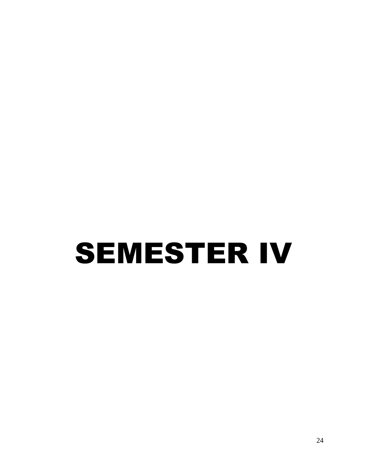## SEMESTER IV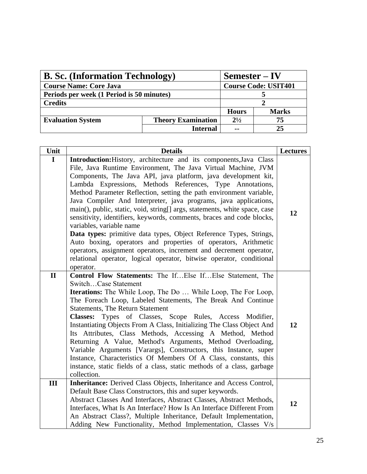| <b>B. Sc.</b> (Information Technology) |                                           | $Semester - IV$             |              |
|----------------------------------------|-------------------------------------------|-----------------------------|--------------|
| <b>Course Name: Core Java</b>          |                                           | <b>Course Code: USIT401</b> |              |
|                                        | Periods per week (1 Period is 50 minutes) |                             |              |
| <b>Credits</b>                         |                                           |                             |              |
|                                        |                                           | <b>Hours</b>                | <b>Marks</b> |
| <b>Evaluation System</b>               | <b>Theory Examination</b>                 | $2^{1/2}$                   | 75           |
|                                        | <b>Internal</b>                           | --                          | 25           |

| Unit         | <b>Details</b>                                                                                                                                                                                                                                                                                                                                                                                                                                                                                                                                                                                                                                                                                                                                                                                                                                                                                      | <b>Lectures</b> |
|--------------|-----------------------------------------------------------------------------------------------------------------------------------------------------------------------------------------------------------------------------------------------------------------------------------------------------------------------------------------------------------------------------------------------------------------------------------------------------------------------------------------------------------------------------------------------------------------------------------------------------------------------------------------------------------------------------------------------------------------------------------------------------------------------------------------------------------------------------------------------------------------------------------------------------|-----------------|
| $\mathbf I$  | Introduction: History, architecture and its components, Java Class<br>File, Java Runtime Environment, The Java Virtual Machine, JVM<br>Components, The Java API, java platform, java development kit,<br>Lambda Expressions, Methods References, Type Annotations,<br>Method Parameter Reflection, setting the path environment variable,<br>Java Compiler And Interpreter, java programs, java applications,<br>main(), public, static, void, string[] args, statements, white space, case<br>sensitivity, identifiers, keywords, comments, braces and code blocks,<br>variables, variable name<br>Data types: primitive data types, Object Reference Types, Strings,<br>Auto boxing, operators and properties of operators, Arithmetic<br>operators, assignment operators, increment and decrement operator,<br>relational operator, logical operator, bitwise operator, conditional<br>operator. | 12              |
| $\mathbf{I}$ | Control Flow Statements: The IfElse IfElse Statement, The<br>SwitchCase Statement<br><b>Iterations:</b> The While Loop, The Do  While Loop, The For Loop,<br>The Foreach Loop, Labeled Statements, The Break And Continue<br><b>Statements, The Return Statement</b><br>Types of Classes, Scope Rules, Access Modifier,<br><b>Classes:</b><br>Instantiating Objects From A Class, Initializing The Class Object And<br>Its Attributes, Class Methods, Accessing A Method, Method<br>Returning A Value, Method's Arguments, Method Overloading,<br>Variable Arguments [Varargs], Constructors, this Instance, super<br>Instance, Characteristics Of Members Of A Class, constants, this<br>instance, static fields of a class, static methods of a class, garbage<br>collection.                                                                                                                     | 12              |
| III          | Inheritance: Derived Class Objects, Inheritance and Access Control,<br>Default Base Class Constructors, this and super keywords.<br>Abstract Classes And Interfaces, Abstract Classes, Abstract Methods,<br>Interfaces, What Is An Interface? How Is An Interface Different From<br>An Abstract Class?, Multiple Inheritance, Default Implementation,<br>Adding New Functionality, Method Implementation, Classes V/s                                                                                                                                                                                                                                                                                                                                                                                                                                                                               | 12              |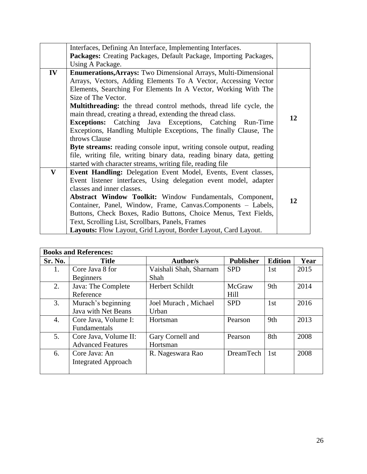|              | Interfaces, Defining An Interface, Implementing Interfaces.                                                                                                                                                                                                                                                                                                                                                                                                                                                                                                                                                                                                                                                                                          |    |
|--------------|------------------------------------------------------------------------------------------------------------------------------------------------------------------------------------------------------------------------------------------------------------------------------------------------------------------------------------------------------------------------------------------------------------------------------------------------------------------------------------------------------------------------------------------------------------------------------------------------------------------------------------------------------------------------------------------------------------------------------------------------------|----|
|              | Packages: Creating Packages, Default Package, Importing Packages,                                                                                                                                                                                                                                                                                                                                                                                                                                                                                                                                                                                                                                                                                    |    |
|              | Using A Package.                                                                                                                                                                                                                                                                                                                                                                                                                                                                                                                                                                                                                                                                                                                                     |    |
| IV           | <b>Enumerations, Arrays:</b> Two Dimensional Arrays, Multi-Dimensional<br>Arrays, Vectors, Adding Elements To A Vector, Accessing Vector<br>Elements, Searching For Elements In A Vector, Working With The<br>Size of The Vector.<br><b>Multithreading:</b> the thread control methods, thread life cycle, the<br>main thread, creating a thread, extending the thread class.<br><b>Exceptions:</b> Catching Java Exceptions, Catching Run-Time<br>Exceptions, Handling Multiple Exceptions, The finally Clause, The<br>throws Clause<br>Byte streams: reading console input, writing console output, reading<br>file, writing file, writing binary data, reading binary data, getting<br>started with character streams, writing file, reading file | 12 |
| $\mathbf{V}$ | <b>Event Handling:</b> Delegation Event Model, Events, Event classes,<br>Event listener interfaces, Using delegation event model, adapter<br>classes and inner classes.<br><b>Abstract Window Toolkit:</b> Window Fundamentals, Component,<br>Container, Panel, Window, Frame, Canvas.Components - Labels,<br>Buttons, Check Boxes, Radio Buttons, Choice Menus, Text Fields,<br>Text, Scrolling List, Scrollbars, Panels, Frames<br>Layouts: Flow Layout, Grid Layout, Border Layout, Card Layout.                                                                                                                                                                                                                                                  | 12 |

|         | <b>Books and References:</b> |                        |                  |                 |      |  |
|---------|------------------------------|------------------------|------------------|-----------------|------|--|
| Sr. No. | <b>Title</b>                 | <b>Author/s</b>        | <b>Publisher</b> | <b>Edition</b>  | Year |  |
| 1.      | Core Java 8 for              | Vaishali Shah, Sharnam | <b>SPD</b>       | 1 <sub>st</sub> | 2015 |  |
|         | <b>Beginners</b>             | Shah                   |                  |                 |      |  |
| 2.      | Java: The Complete           | <b>Herbert Schildt</b> | McGraw           | 9th             | 2014 |  |
|         | Reference                    |                        | Hill             |                 |      |  |
| 3.      | Murach's beginning           | Joel Murach, Michael   | <b>SPD</b>       | 1 <sub>st</sub> | 2016 |  |
|         | <b>Java with Net Beans</b>   | Urban                  |                  |                 |      |  |
| 4.      | Core Java, Volume I:         | Hortsman               | Pearson          | 9th             | 2013 |  |
|         | Fundamentals                 |                        |                  |                 |      |  |
| 5.      | Core Java, Volume II:        | Gary Cornell and       | Pearson          | 8th             | 2008 |  |
|         | <b>Advanced Features</b>     | Hortsman               |                  |                 |      |  |
| 6.      | Core Java: An                | R. Nageswara Rao       | <b>DreamTech</b> | 1 <sub>st</sub> | 2008 |  |
|         | <b>Integrated Approach</b>   |                        |                  |                 |      |  |
|         |                              |                        |                  |                 |      |  |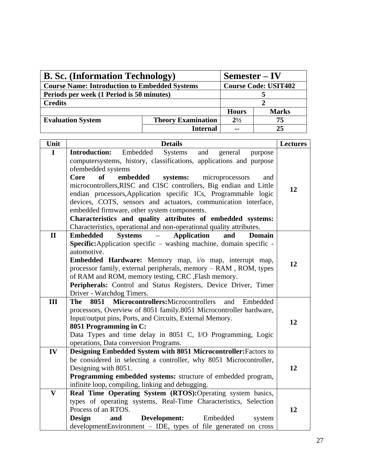| <b>B. Sc.</b> (Information Technology)               | $Semester - IV$           |                             |              |
|------------------------------------------------------|---------------------------|-----------------------------|--------------|
| <b>Course Name: Introduction to Embedded Systems</b> |                           | <b>Course Code: USIT402</b> |              |
| Periods per week (1 Period is 50 minutes)            |                           |                             |              |
| <b>Credits</b>                                       |                           |                             |              |
|                                                      |                           | <b>Hours</b>                | <b>Marks</b> |
| <b>Evaluation System</b>                             | <b>Theory Examination</b> | $2^{1/2}$                   | 75           |
|                                                      | <b>Internal</b>           | $\sim$ $\sim$               | 25           |

| Unit                    | <b>Details</b>                                                                                                                    | <b>Lectures</b> |  |  |  |
|-------------------------|-----------------------------------------------------------------------------------------------------------------------------------|-----------------|--|--|--|
| $\mathbf I$             | Embedded<br>Systems<br>and<br><b>Introduction:</b><br>general<br>purpose                                                          |                 |  |  |  |
|                         | computersystems, history, classifications, applications and purpose                                                               |                 |  |  |  |
|                         | ofembedded systems                                                                                                                |                 |  |  |  |
|                         | Core<br>of<br>embedded<br>systems:<br>microprocessors<br>and                                                                      |                 |  |  |  |
|                         | microcontrollers, RISC and CISC controllers, Big endian and Little                                                                | 12              |  |  |  |
|                         | endian processors, Application specific ICs, Programmable logic<br>devices, COTS, sensors and actuators, communication interface, |                 |  |  |  |
|                         | embedded firmware, other system components.                                                                                       |                 |  |  |  |
|                         | Characteristics and quality attributes of embedded systems:                                                                       |                 |  |  |  |
|                         | Characteristics, operational and non-operational quality attributes.                                                              |                 |  |  |  |
| $\mathbf{I}$            | <b>Embedded</b><br><b>Systems</b><br><b>Application</b><br><b>Domain</b><br>and                                                   |                 |  |  |  |
|                         | Specific: Application specific - washing machine, domain specific -                                                               |                 |  |  |  |
|                         | automotive.                                                                                                                       |                 |  |  |  |
|                         | Embedded Hardware: Memory map, i/o map, interrupt map,                                                                            | 12              |  |  |  |
|                         | processor family, external peripherals, memory - RAM, ROM, types                                                                  |                 |  |  |  |
|                         | of RAM and ROM, memory testing, CRC , Flash memory.                                                                               |                 |  |  |  |
|                         | Peripherals: Control and Status Registers, Device Driver, Timer                                                                   |                 |  |  |  |
|                         | Driver - Watchdog Timers.                                                                                                         |                 |  |  |  |
| III                     | 8051 Microcontrollers: Microcontrollers<br><b>The</b><br>and<br>Embedded                                                          |                 |  |  |  |
|                         | processors, Overview of 8051 family.8051 Microcontroller hardware,<br>Input/output pins, Ports, and Circuits, External Memory.    |                 |  |  |  |
|                         | 8051 Programming in C:                                                                                                            | 12              |  |  |  |
|                         | Data Types and time delay in 8051 C, I/O Programming, Logic                                                                       |                 |  |  |  |
|                         | operations, Data conversion Programs.                                                                                             |                 |  |  |  |
| IV                      | Designing Embedded System with 8051 Microcontroller: Factors to                                                                   |                 |  |  |  |
|                         | be considered in selecting a controller, why 8051 Microcontroller,                                                                |                 |  |  |  |
|                         | Designing with 8051.                                                                                                              | 12              |  |  |  |
|                         | Programming embedded systems: structure of embedded program,                                                                      |                 |  |  |  |
|                         | infinite loop, compiling, linking and debugging.                                                                                  |                 |  |  |  |
| $\overline{\mathbf{V}}$ | Real Time Operating System (RTOS):Operating system basics,                                                                        |                 |  |  |  |
|                         | types of operating systems, Real-Time Characteristics, Selection                                                                  |                 |  |  |  |
|                         | Process of an RTOS.                                                                                                               | 12              |  |  |  |
|                         | <b>Design</b><br>Development:<br>Embedded<br>and<br>system                                                                        |                 |  |  |  |
|                         | developmentEnvironment - IDE, types of file generated on cross                                                                    |                 |  |  |  |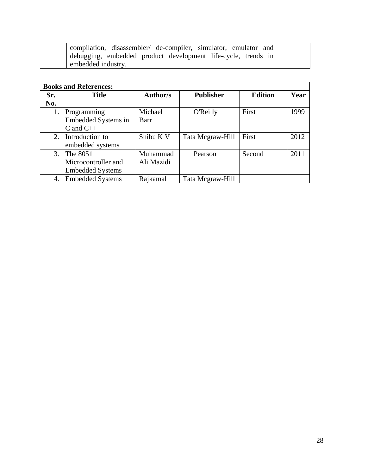| compilation, disassembler/ de-compiler, simulator, emulator and |  |
|-----------------------------------------------------------------|--|
| debugging, embedded product development life-cycle, trends in   |  |
| embedded industry.                                              |  |

|     | <b>Books and References:</b> |                 |                  |                |      |  |  |
|-----|------------------------------|-----------------|------------------|----------------|------|--|--|
| Sr. | <b>Title</b>                 | <b>Author/s</b> | <b>Publisher</b> | <b>Edition</b> | Year |  |  |
| No. |                              |                 |                  |                |      |  |  |
| 1.  | Programming                  | Michael         | <b>O'Reilly</b>  | First          | 1999 |  |  |
|     | Embedded Systems in          | Barr            |                  |                |      |  |  |
|     | $C$ and $C++$                |                 |                  |                |      |  |  |
| 2.  | Introduction to              | Shibu K V       | Tata Mcgraw-Hill | First          | 2012 |  |  |
|     | embedded systems             |                 |                  |                |      |  |  |
| 3.  | The 8051                     | Muhammad        | Pearson          | Second         | 2011 |  |  |
|     | Microcontroller and          | Ali Mazidi      |                  |                |      |  |  |
|     | <b>Embedded Systems</b>      |                 |                  |                |      |  |  |
| 4.  | <b>Embedded Systems</b>      | Rajkamal        | Tata Megraw-Hill |                |      |  |  |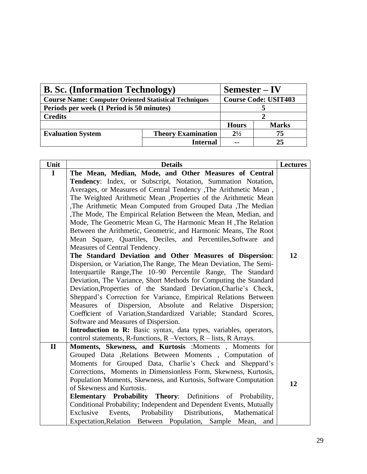| <b>B. Sc.</b> (Information Technology)                       | $Semester - IV$           |                             |    |  |
|--------------------------------------------------------------|---------------------------|-----------------------------|----|--|
| <b>Course Name: Computer Oriented Statistical Techniques</b> |                           | <b>Course Code: USIT403</b> |    |  |
| Periods per week (1 Period is 50 minutes)                    |                           |                             |    |  |
| <b>Credits</b>                                               |                           |                             |    |  |
|                                                              | <b>Hours</b>              | <b>Marks</b>                |    |  |
| <b>Evaluation System</b>                                     | <b>Theory Examination</b> | $2^{1/2}$                   | 75 |  |
|                                                              | <b>Internal</b>           | $\sim$ $\sim$               | 25 |  |

| Unit         | <b>Details</b>                                                      | <b>Lectures</b> |  |  |  |  |
|--------------|---------------------------------------------------------------------|-----------------|--|--|--|--|
| $\mathbf I$  | The Mean, Median, Mode, and Other Measures of Central               |                 |  |  |  |  |
|              | Tendency: Index, or Subscript, Notation, Summation Notation,        |                 |  |  |  |  |
|              | Averages, or Measures of Central Tendency , The Arithmetic Mean,    |                 |  |  |  |  |
|              | The Weighted Arithmetic Mean , Properties of the Arithmetic Mean    |                 |  |  |  |  |
|              | The Arithmetic Mean Computed from Grouped Data , The Median         |                 |  |  |  |  |
|              | The Mode, The Empirical Relation Between the Mean, Median, and      |                 |  |  |  |  |
|              | Mode, The Geometric Mean G, The Harmonic Mean H, The Relation       |                 |  |  |  |  |
|              | Between the Arithmetic, Geometric, and Harmonic Means, The Root     |                 |  |  |  |  |
|              | Mean Square, Quartiles, Deciles, and Percentiles, Software and      |                 |  |  |  |  |
|              | Measures of Central Tendency.                                       |                 |  |  |  |  |
|              | The Standard Deviation and Other Measures of Dispersion:            | 12              |  |  |  |  |
|              | Dispersion, or Variation, The Range, The Mean Deviation, The Semi-  |                 |  |  |  |  |
|              | Interquartile Range, The 10–90 Percentile Range, The Standard       |                 |  |  |  |  |
|              | Deviation, The Variance, Short Methods for Computing the Standard   |                 |  |  |  |  |
|              | Deviation, Properties of the Standard Deviation, Charlie's Check,   |                 |  |  |  |  |
|              | Sheppard's Correction for Variance, Empirical Relations Between     |                 |  |  |  |  |
|              | Measures of Dispersion, Absolute and Relative Dispersion;           |                 |  |  |  |  |
|              | Coefficient of Variation, Standardized Variable; Standard Scores,   |                 |  |  |  |  |
|              | Software and Measures of Dispersion.                                |                 |  |  |  |  |
|              | Introduction to R: Basic syntax, data types, variables, operators,  |                 |  |  |  |  |
|              | control statements, R-functions, R-Vectors, R-lists, R Arrays.      |                 |  |  |  |  |
| $\mathbf{I}$ | Moments, Skewness, and Kurtosis : Moments , Moments for             |                 |  |  |  |  |
|              | Grouped Data , Relations Between Moments, Computation of            |                 |  |  |  |  |
|              | Moments for Grouped Data, Charlie's Check and Sheppard's            |                 |  |  |  |  |
|              | Corrections, Moments in Dimensionless Form, Skewness, Kurtosis,     |                 |  |  |  |  |
|              | Population Moments, Skewness, and Kurtosis, Software Computation    |                 |  |  |  |  |
|              | of Skewness and Kurtosis.                                           | 12              |  |  |  |  |
|              | <b>Elementary Probability Theory:</b> Definitions of Probability,   |                 |  |  |  |  |
|              | Conditional Probability; Independent and Dependent Events, Mutually |                 |  |  |  |  |
|              | Exclusive Events, Probability Distributions, Mathematical           |                 |  |  |  |  |
|              | Expectation, Relation Between Population, Sample Mean,<br>and       |                 |  |  |  |  |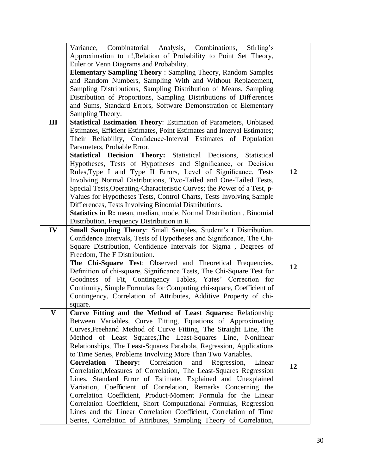|     | Variance, Combinatorial Analysis, Combinations,<br>Stirling's<br>Approximation to n!, Relation of Probability to Point Set Theory,<br>Euler or Venn Diagrams and Probability.<br><b>Elementary Sampling Theory: Sampling Theory, Random Samples</b><br>and Random Numbers, Sampling With and Without Replacement,<br>Sampling Distributions, Sampling Distribution of Means, Sampling<br>Distribution of Proportions, Sampling Distributions of Differences<br>and Sums, Standard Errors, Software Demonstration of Elementary                                                                                                                                                                                                                                                                                                                                                                                                                                                      |    |
|-----|-------------------------------------------------------------------------------------------------------------------------------------------------------------------------------------------------------------------------------------------------------------------------------------------------------------------------------------------------------------------------------------------------------------------------------------------------------------------------------------------------------------------------------------------------------------------------------------------------------------------------------------------------------------------------------------------------------------------------------------------------------------------------------------------------------------------------------------------------------------------------------------------------------------------------------------------------------------------------------------|----|
|     | Sampling Theory.                                                                                                                                                                                                                                                                                                                                                                                                                                                                                                                                                                                                                                                                                                                                                                                                                                                                                                                                                                    |    |
| III | Statistical Estimation Theory: Estimation of Parameters, Unbiased<br>Estimates, Efficient Estimates, Point Estimates and Interval Estimates;<br>Their Reliability, Confidence-Interval Estimates of Population<br>Parameters, Probable Error.<br>Statistical Decision Theory: Statistical Decisions, Statistical<br>Hypotheses, Tests of Hypotheses and Significance, or Decision<br>Rules, Type I and Type II Errors, Level of Significance, Tests<br>Involving Normal Distributions, Two-Tailed and One-Tailed Tests,<br>Special Tests, Operating-Characteristic Curves; the Power of a Test, p-<br>Values for Hypotheses Tests, Control Charts, Tests Involving Sample<br>Differences, Tests Involving Binomial Distributions.<br>Statistics in R: mean, median, mode, Normal Distribution, Binomial<br>Distribution, Frequency Distribution in R.                                                                                                                               | 12 |
| IV  | Small Sampling Theory: Small Samples, Student's t Distribution,<br>Confidence Intervals, Tests of Hypotheses and Significance, The Chi-<br>Square Distribution, Confidence Intervals for Sigma, Degrees of<br>Freedom, The F Distribution.<br>The Chi-Square Test: Observed and Theoretical Frequencies,<br>Definition of chi-square, Significance Tests, The Chi-Square Test for<br>Goodness of Fit, Contingency Tables, Yates' Correction for<br>Continuity, Simple Formulas for Computing chi-square, Coefficient of<br>Contingency, Correlation of Attributes, Additive Property of chi-<br>square.                                                                                                                                                                                                                                                                                                                                                                             | 12 |
|     | Curve Fitting and the Method of Least Squares: Relationship<br>Between Variables, Curve Fitting, Equations of Approximating<br>Curves, Freehand Method of Curve Fitting, The Straight Line, The<br>Method of Least Squares, The Least-Squares Line, Nonlinear<br>Relationships, The Least-Squares Parabola, Regression, Applications<br>to Time Series, Problems Involving More Than Two Variables.<br><b>Correlation</b><br><b>Theory:</b><br>Correlation<br>and<br>Regression,<br>Linear<br>Correlation, Measures of Correlation, The Least-Squares Regression<br>Lines, Standard Error of Estimate, Explained and Unexplained<br>Variation, Coefficient of Correlation, Remarks Concerning the<br>Correlation Coefficient, Product-Moment Formula for the Linear<br>Correlation Coefficient, Short Computational Formulas, Regression<br>Lines and the Linear Correlation Coefficient, Correlation of Time<br>Series, Correlation of Attributes, Sampling Theory of Correlation, | 12 |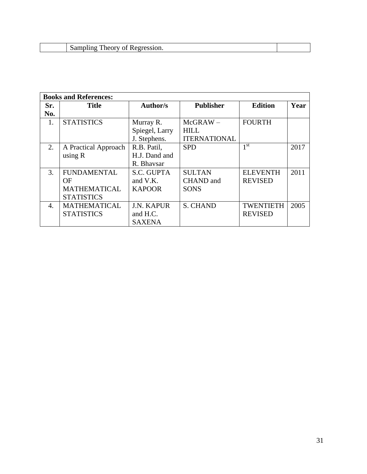| ---- |  |
|------|--|
|      |  |

|     | <b>Books and References:</b> |                   |                     |                  |      |  |  |  |
|-----|------------------------------|-------------------|---------------------|------------------|------|--|--|--|
| Sr. | <b>Title</b>                 | <b>Author/s</b>   | <b>Publisher</b>    | <b>Edition</b>   | Year |  |  |  |
| No. |                              |                   |                     |                  |      |  |  |  |
| 1.  | <b>STATISTICS</b>            | Murray R.         | $McGRAW -$          | <b>FOURTH</b>    |      |  |  |  |
|     |                              | Spiegel, Larry    | <b>HILL</b>         |                  |      |  |  |  |
|     |                              | J. Stephens.      | <b>ITERNATIONAL</b> |                  |      |  |  |  |
| 2.  | A Practical Approach         | R.B. Patil,       | <b>SPD</b>          | 1 <sup>st</sup>  | 2017 |  |  |  |
|     | using $R$                    | H.J. Dand and     |                     |                  |      |  |  |  |
|     |                              | R. Bhavsar        |                     |                  |      |  |  |  |
| 3.  | <b>FUNDAMENTAL</b>           | S.C. GUPTA        | <b>SULTAN</b>       | <b>ELEVENTH</b>  | 2011 |  |  |  |
|     | ОF                           | and V.K.          | <b>CHAND</b> and    | <b>REVISED</b>   |      |  |  |  |
|     | <b>MATHEMATICAL</b>          | <b>KAPOOR</b>     | <b>SONS</b>         |                  |      |  |  |  |
|     | <b>STATISTICS</b>            |                   |                     |                  |      |  |  |  |
| 4.  | <b>MATHEMATICAL</b>          | <b>J.N. KAPUR</b> | <b>S. CHAND</b>     | <b>TWENTIETH</b> | 2005 |  |  |  |
|     | <b>STATISTICS</b>            | and H.C.          |                     | <b>REVISED</b>   |      |  |  |  |
|     |                              | <b>SAXENA</b>     |                     |                  |      |  |  |  |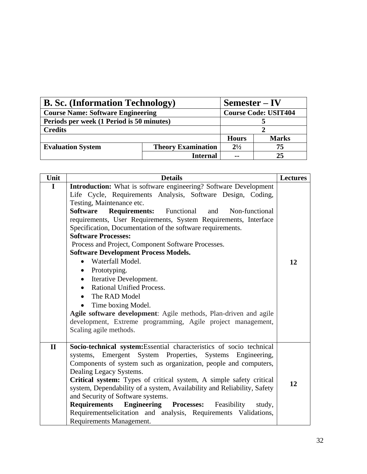| <b>B. Sc. (Information Technology)</b>    | $Semester - IV$                        |                             |              |  |
|-------------------------------------------|----------------------------------------|-----------------------------|--------------|--|
| <b>Course Name: Software Engineering</b>  |                                        | <b>Course Code: USIT404</b> |              |  |
| Periods per week (1 Period is 50 minutes) |                                        |                             |              |  |
| <b>Credits</b>                            |                                        |                             |              |  |
|                                           |                                        | <b>Hours</b>                | <b>Marks</b> |  |
| <b>Evaluation System</b>                  | $2^{1/2}$<br><b>Theory Examination</b> |                             | 75           |  |
|                                           | <b>Internal</b>                        | $\sim$ $\sim$               | 25           |  |

| Unit         | <b>Details</b>                                                                                                                                                                                                                                                                                                                                                                                                                                                                                                                                                                                                                                                                                                                                                                                                                                                            | <b>Lectures</b> |
|--------------|---------------------------------------------------------------------------------------------------------------------------------------------------------------------------------------------------------------------------------------------------------------------------------------------------------------------------------------------------------------------------------------------------------------------------------------------------------------------------------------------------------------------------------------------------------------------------------------------------------------------------------------------------------------------------------------------------------------------------------------------------------------------------------------------------------------------------------------------------------------------------|-----------------|
| $\mathbf I$  | <b>Introduction:</b> What is software engineering? Software Development<br>Life Cycle, Requirements Analysis, Software Design, Coding,<br>Testing, Maintenance etc.<br>Software<br><b>Requirements:</b> Functional and Non-functional<br>requirements, User Requirements, System Requirements, Interface<br>Specification, Documentation of the software requirements.<br><b>Software Processes:</b><br>Process and Project, Component Software Processes.<br><b>Software Development Process Models.</b><br>Waterfall Model.<br>$\bullet$<br>Prototyping.<br>$\bullet$<br>Iterative Development.<br>$\bullet$<br>Rational Unified Process.<br>$\bullet$<br>The RAD Model<br>$\bullet$<br>Time boxing Model.<br>Agile software development: Agile methods, Plan-driven and agile<br>development, Extreme programming, Agile project management,<br>Scaling agile methods. | 12              |
| $\mathbf{I}$ | Socio-technical system: Essential characteristics of socio technical<br>systems, Emergent System Properties, Systems Engineering,<br>Components of system such as organization, people and computers,<br>Dealing Legacy Systems.<br>Critical system: Types of critical system, A simple safety critical<br>system, Dependability of a system, Availability and Reliability, Safety<br>and Security of Software systems.<br>Requirements Engineering Processes:<br>Feasibility<br>study,<br>Requirementselicitation and analysis, Requirements Validations,<br>Requirements Management.                                                                                                                                                                                                                                                                                    | 12              |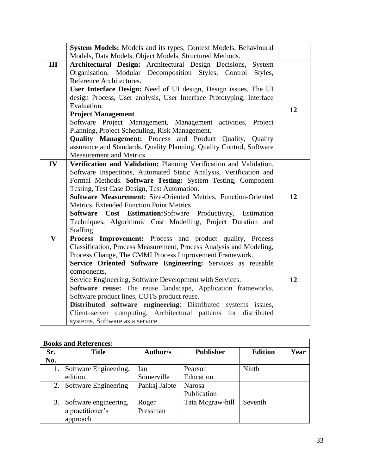|                         | System Models: Models and its types, Context Models, Behavioural                                        |    |  |  |  |  |
|-------------------------|---------------------------------------------------------------------------------------------------------|----|--|--|--|--|
|                         | Models, Data Models, Object Models, Structured Methods.                                                 |    |  |  |  |  |
| III                     | Architectural Design: Architectural Design Decisions,<br>System                                         |    |  |  |  |  |
|                         | Organisation, Modular Decomposition Styles, Control<br>Styles,                                          |    |  |  |  |  |
|                         | Reference Architectures.                                                                                |    |  |  |  |  |
|                         | User Interface Design: Need of UI design, Design issues, The UI                                         |    |  |  |  |  |
|                         | design Process, User analysis, User Interface Prototyping, Interface                                    |    |  |  |  |  |
|                         | Evaluation.                                                                                             | 12 |  |  |  |  |
|                         | <b>Project Management</b>                                                                               |    |  |  |  |  |
|                         | Software Project Management, Management activities, Project                                             |    |  |  |  |  |
|                         | Planning, Project Scheduling, Risk Management.                                                          |    |  |  |  |  |
|                         | <b>Quality Management:</b> Process and Product Quality, Quality                                         |    |  |  |  |  |
|                         | assurance and Standards, Quality Planning, Quality Control, Software                                    |    |  |  |  |  |
|                         | Measurement and Metrics.                                                                                |    |  |  |  |  |
| IV                      | Verification and Validation: Planning Verification and Validation,                                      |    |  |  |  |  |
|                         | Software Inspections, Automated Static Analysis, Verification and                                       |    |  |  |  |  |
|                         | Formal Methods. Software Testing: System Testing, Component                                             |    |  |  |  |  |
|                         | Testing, Test Case Design, Test Automation.                                                             |    |  |  |  |  |
|                         | Software Measurement: Size-Oriented Metrics, Function-Oriented                                          | 12 |  |  |  |  |
|                         | Metrics, Extended Function Point Metrics<br>Software Cost Estimation: Software Productivity, Estimation |    |  |  |  |  |
|                         | Techniques, Algorithmic Cost Modelling, Project Duration and                                            |    |  |  |  |  |
|                         | <b>Staffing</b>                                                                                         |    |  |  |  |  |
| $\overline{\mathbf{V}}$ | Process Improvement: Process and product quality, Process                                               |    |  |  |  |  |
|                         | Classification, Process Measurement, Process Analysis and Modeling,                                     |    |  |  |  |  |
|                         | Process Change, The CMMI Process Improvement Framework.                                                 |    |  |  |  |  |
|                         | Service Oriented Software Engineering: Services as reusable                                             |    |  |  |  |  |
|                         | components,                                                                                             |    |  |  |  |  |
|                         | Service Engineering, Software Development with Services.                                                | 12 |  |  |  |  |
|                         | Software reuse: The reuse landscape, Application frameworks,                                            |    |  |  |  |  |
|                         | Software product lines, COTS product reuse.                                                             |    |  |  |  |  |
|                         | Distributed software engineering: Distributed systems issues,                                           |    |  |  |  |  |
|                         | Client-server computing, Architectural patterns for distributed                                         |    |  |  |  |  |
|                         | systems, Software as a service                                                                          |    |  |  |  |  |

|     | <b>Books and References:</b> |                 |                  |                |      |  |  |
|-----|------------------------------|-----------------|------------------|----------------|------|--|--|
| Sr. | <b>Title</b>                 | <b>Author/s</b> | <b>Publisher</b> | <b>Edition</b> | Year |  |  |
| No. |                              |                 |                  |                |      |  |  |
|     | Software Engineering,        | Ian             | Pearson          | Ninth          |      |  |  |
|     | edition,                     | Somerville      | Education.       |                |      |  |  |
| 2.  | Software Engineering         | Pankaj Jalote   | <b>Narosa</b>    |                |      |  |  |
|     |                              |                 | Publication      |                |      |  |  |
| 3.  | Software engineering,        | Roger           | Tata Mcgraw-hill | Seventh        |      |  |  |
|     | a practitioner's             | Pressman        |                  |                |      |  |  |
|     | approach                     |                 |                  |                |      |  |  |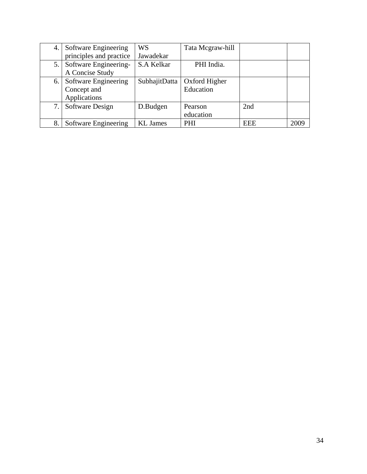| 4. | Software Engineering    | WS              | Tata Mcgraw-hill |            |      |
|----|-------------------------|-----------------|------------------|------------|------|
|    | principles and practice | Jawadekar       |                  |            |      |
| 5. | Software Engineering-   | S.A Kelkar      | PHI India.       |            |      |
|    | A Concise Study         |                 |                  |            |      |
| 6. | Software Engineering    | SubhajitDatta   | Oxford Higher    |            |      |
|    | Concept and             |                 | Education        |            |      |
|    | Applications            |                 |                  |            |      |
| 7. | Software Design         | D.Budgen        | Pearson          | 2nd        |      |
|    |                         |                 | education        |            |      |
| 8  | Software Engineering    | <b>KL</b> James | PHI              | <b>EEE</b> | 2009 |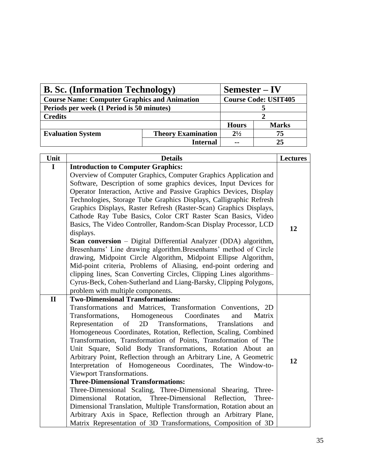| <b>B. Sc. (Information Technology)</b>              |                           | $Semester - IV$             |              |
|-----------------------------------------------------|---------------------------|-----------------------------|--------------|
| <b>Course Name: Computer Graphics and Animation</b> |                           | <b>Course Code: USIT405</b> |              |
| Periods per week (1 Period is 50 minutes)           |                           |                             |              |
| <b>Credits</b>                                      |                           |                             |              |
|                                                     |                           | <b>Hours</b>                | <b>Marks</b> |
| <b>Evaluation System</b>                            | <b>Theory Examination</b> | $2^{1/2}$                   | 75           |
|                                                     | <b>Internal</b>           | $\sim$ $\sim$               | 25           |

| Unit         | <b>Details</b>                                                                                                                  | <b>Lectures</b> |
|--------------|---------------------------------------------------------------------------------------------------------------------------------|-----------------|
| $\mathbf I$  | <b>Introduction to Computer Graphics:</b>                                                                                       |                 |
|              | Overview of Computer Graphics, Computer Graphics Application and                                                                |                 |
|              | Software, Description of some graphics devices, Input Devices for                                                               |                 |
|              | Operator Interaction, Active and Passive Graphics Devices, Display                                                              |                 |
|              | Technologies, Storage Tube Graphics Displays, Calligraphic Refresh                                                              |                 |
|              | Graphics Displays, Raster Refresh (Raster-Scan) Graphics Displays,                                                              |                 |
|              | Cathode Ray Tube Basics, Color CRT Raster Scan Basics, Video                                                                    |                 |
|              | Basics, The Video Controller, Random-Scan Display Processor, LCD                                                                | 12              |
|              | displays.                                                                                                                       |                 |
|              | Scan conversion - Digital Differential Analyzer (DDA) algorithm,                                                                |                 |
|              | Bresenhams' Line drawing algorithm. Bresenhams' method of Circle                                                                |                 |
|              | drawing, Midpoint Circle Algorithm, Midpoint Ellipse Algorithm,                                                                 |                 |
|              | Mid-point criteria, Problems of Aliasing, end-point ordering and                                                                |                 |
|              | clipping lines, Scan Converting Circles, Clipping Lines algorithms-                                                             |                 |
|              | Cyrus-Beck, Cohen-Sutherland and Liang-Barsky, Clipping Polygons,                                                               |                 |
|              | problem with multiple components.                                                                                               |                 |
| $\mathbf{I}$ | <b>Two-Dimensional Transformations:</b>                                                                                         |                 |
|              | Transformations and Matrices, Transformation Conventions, 2D                                                                    |                 |
|              | Transformations,<br>Homogeneous<br>Coordinates<br>and<br>Matrix                                                                 |                 |
|              | Representation<br>Transformations,<br>of<br>2D<br>Translations<br>and                                                           |                 |
|              | Homogeneous Coordinates, Rotation, Reflection, Scaling, Combined                                                                |                 |
|              | Transformation, Transformation of Points, Transformation of The                                                                 |                 |
|              | Unit Square, Solid Body Transformations, Rotation About an                                                                      |                 |
|              | Arbitrary Point, Reflection through an Arbitrary Line, A Geometric<br>Interpretation of Homogeneous Coordinates, The Window-to- | 12              |
|              | Viewport Transformations.                                                                                                       |                 |
|              | <b>Three-Dimensional Transformations:</b>                                                                                       |                 |
|              | Three-Dimensional Scaling, Three-Dimensional Shearing,<br>Three-                                                                |                 |
|              | Dimensional Rotation, Three-Dimensional Reflection,<br>Three-                                                                   |                 |
|              | Dimensional Translation, Multiple Transformation, Rotation about an                                                             |                 |
|              | Arbitrary Axis in Space, Reflection through an Arbitrary Plane,                                                                 |                 |
|              | Matrix Representation of 3D Transformations, Composition of 3D                                                                  |                 |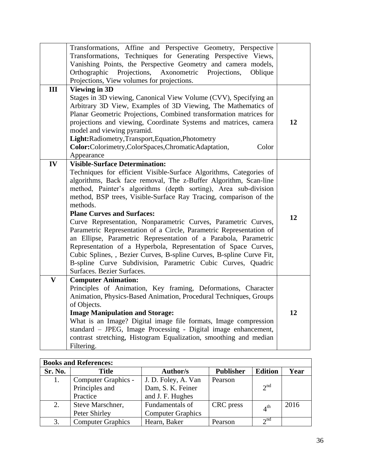|                         | Transformations, Affine and Perspective Geometry, Perspective<br>Transformations, Techniques for Generating Perspective Views,<br>Vanishing Points, the Perspective Geometry and camera models,<br>Orthographic<br>Projections,<br>Axonometric<br>Projections,<br>Oblique<br>Projections, View volumes for projections.                                                                                                                                                                                                                                                                                                                                                                                                                                                             |    |
|-------------------------|-------------------------------------------------------------------------------------------------------------------------------------------------------------------------------------------------------------------------------------------------------------------------------------------------------------------------------------------------------------------------------------------------------------------------------------------------------------------------------------------------------------------------------------------------------------------------------------------------------------------------------------------------------------------------------------------------------------------------------------------------------------------------------------|----|
| III                     | <b>Viewing in 3D</b>                                                                                                                                                                                                                                                                                                                                                                                                                                                                                                                                                                                                                                                                                                                                                                |    |
|                         | Stages in 3D viewing, Canonical View Volume (CVV), Specifying an<br>Arbitrary 3D View, Examples of 3D Viewing, The Mathematics of<br>Planar Geometric Projections, Combined transformation matrices for<br>projections and viewing, Coordinate Systems and matrices, camera<br>model and viewing pyramid.<br>Light:Radiometry,Transport,Equation,Photometry<br>Color:Colorimetry,ColorSpaces,ChromaticAdaptation,<br>Color<br>Appearance                                                                                                                                                                                                                                                                                                                                            | 12 |
| IV                      | <b>Visible-Surface Determination:</b>                                                                                                                                                                                                                                                                                                                                                                                                                                                                                                                                                                                                                                                                                                                                               |    |
|                         | Techniques for efficient Visible-Surface Algorithms, Categories of<br>algorithms, Back face removal, The z-Buffer Algorithm, Scan-line<br>method, Painter's algorithms (depth sorting), Area sub-division<br>method, BSP trees, Visible-Surface Ray Tracing, comparison of the<br>methods.<br><b>Plane Curves and Surfaces:</b><br>Curve Representation, Nonparametric Curves, Parametric Curves,<br>Parametric Representation of a Circle, Parametric Representation of<br>an Ellipse, Parametric Representation of a Parabola, Parametric<br>Representation of a Hyperbola, Representation of Space Curves,<br>Cubic Splines, , Bezier Curves, B-spline Curves, B-spline Curve Fit,<br>B-spline Curve Subdivision, Parametric Cubic Curves, Quadric<br>Surfaces. Bezier Surfaces. | 12 |
| $\overline{\mathbf{V}}$ | <b>Computer Animation:</b>                                                                                                                                                                                                                                                                                                                                                                                                                                                                                                                                                                                                                                                                                                                                                          |    |
|                         | Principles of Animation, Key framing, Deformations, Character<br>Animation, Physics-Based Animation, Procedural Techniques, Groups<br>of Objects.                                                                                                                                                                                                                                                                                                                                                                                                                                                                                                                                                                                                                                   |    |
|                         | <b>Image Manipulation and Storage:</b>                                                                                                                                                                                                                                                                                                                                                                                                                                                                                                                                                                                                                                                                                                                                              | 12 |
|                         | What is an Image? Digital image file formats, Image compression                                                                                                                                                                                                                                                                                                                                                                                                                                                                                                                                                                                                                                                                                                                     |    |
|                         | standard - JPEG, Image Processing - Digital image enhancement,                                                                                                                                                                                                                                                                                                                                                                                                                                                                                                                                                                                                                                                                                                                      |    |
|                         | contrast stretching, Histogram Equalization, smoothing and median<br>Filtering.                                                                                                                                                                                                                                                                                                                                                                                                                                                                                                                                                                                                                                                                                                     |    |

| <b>Books and References:</b> |                          |                          |                  |                 |      |
|------------------------------|--------------------------|--------------------------|------------------|-----------------|------|
| Sr. No.                      | <b>Title</b>             | <b>Author/s</b>          | <b>Publisher</b> | <b>Edition</b>  | Year |
| 1.                           | Computer Graphics -      | J. D. Foley, A. Van      | Pearson          |                 |      |
|                              | Principles and           | Dam, S. K. Feiner        |                  | $2^{nd}$        |      |
|                              | Practice                 | and J. F. Hughes         |                  |                 |      |
| 2.                           | Steve Marschner,         | Fundamentals of          | CRC press        | 4 <sup>th</sup> | 2016 |
|                              | Peter Shirley            | <b>Computer Graphics</b> |                  |                 |      |
| 3.                           | <b>Computer Graphics</b> | Hearn, Baker             | Pearson          | 2 <sup>nd</sup> |      |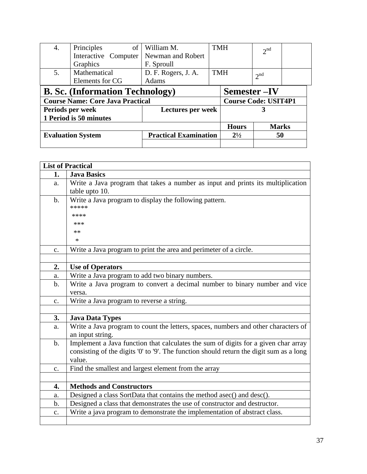| 4.                                         | of<br>Principles                       | William M.                   | <b>TMH</b>                  |              | 2 <sup>nd</sup> |  |
|--------------------------------------------|----------------------------------------|------------------------------|-----------------------------|--------------|-----------------|--|
|                                            | Interactive Computer                   | Newman and Robert            |                             |              |                 |  |
|                                            | Graphics                               | F. Sproull                   |                             |              |                 |  |
| 5.                                         | Mathematical                           | D. F. Rogers, J. A.          | <b>TMH</b>                  |              | 2 <sup>nd</sup> |  |
|                                            | Elements for CG                        | Adams                        |                             |              |                 |  |
|                                            | <b>B. Sc.</b> (Information Technology) |                              |                             | Semester-IV  |                 |  |
| <b>Course Name: Core Java Practical</b>    |                                        |                              | <b>Course Code: USIT4P1</b> |              |                 |  |
| Lectures per week<br>Periods per week<br>3 |                                        |                              |                             |              |                 |  |
| 1 Period is 50 minutes                     |                                        |                              |                             |              |                 |  |
|                                            |                                        |                              |                             | <b>Hours</b> | <b>Marks</b>    |  |
| <b>Evaluation System</b>                   |                                        | <b>Practical Examination</b> |                             | $2^{1/2}$    | 50              |  |
|                                            |                                        |                              |                             |              |                 |  |

|                | <b>List of Practical</b>                                                                |
|----------------|-----------------------------------------------------------------------------------------|
| 1.             | <b>Java Basics</b>                                                                      |
| a.             | Write a Java program that takes a number as input and prints its multiplication         |
|                | table upto 10.                                                                          |
| $\mathbf{b}$ . | Write a Java program to display the following pattern.                                  |
|                | *****                                                                                   |
|                | ****                                                                                    |
|                | ***                                                                                     |
|                | **                                                                                      |
|                | $\ast$                                                                                  |
| $\mathbf{C}$ . | Write a Java program to print the area and perimeter of a circle.                       |
|                |                                                                                         |
| 2.             | <b>Use of Operators</b>                                                                 |
| a.             | Write a Java program to add two binary numbers.                                         |
| $\mathbf b$ .  | Write a Java program to convert a decimal number to binary number and vice              |
|                | versa.                                                                                  |
| $C_{\bullet}$  | Write a Java program to reverse a string.                                               |
|                |                                                                                         |
| 3.             | <b>Java Data Types</b>                                                                  |
| a.             | Write a Java program to count the letters, spaces, numbers and other characters of      |
|                | an input string.                                                                        |
| $\mathbf{b}$ . | Implement a Java function that calculates the sum of digits for a given char array      |
|                | consisting of the digits '0' to '9'. The function should return the digit sum as a long |
|                | value.                                                                                  |
| $\mathbf{C}$ . | Find the smallest and largest element from the array                                    |
|                |                                                                                         |
| 4.             | <b>Methods and Constructors</b>                                                         |
| a.             | Designed a class SortData that contains the method asec() and desc().                   |
| b.             | Designed a class that demonstrates the use of constructor and destructor.               |
| c.             | Write a java program to demonstrate the implementation of abstract class.               |
|                |                                                                                         |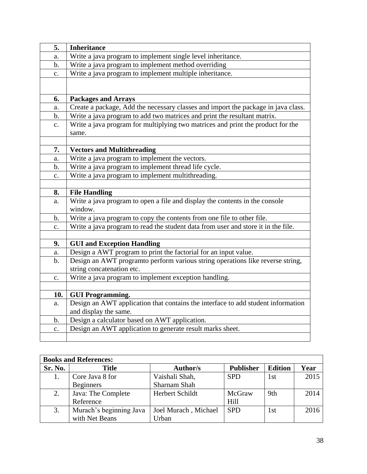| 5.             | <b>Inheritance</b>                                                                       |
|----------------|------------------------------------------------------------------------------------------|
| a.             | Write a java program to implement single level inheritance.                              |
| $\mathbf b$ .  | Write a java program to implement method overriding                                      |
| c.             | Write a java program to implement multiple inheritance.                                  |
|                |                                                                                          |
|                |                                                                                          |
| 6.             | <b>Packages and Arrays</b>                                                               |
| a.             | Create a package, Add the necessary classes and import the package in java class.        |
| $\mathbf b$ .  | Write a java program to add two matrices and print the resultant matrix.                 |
| $\mathbf{c}$ . | Write a java program for multiplying two matrices and print the product for the<br>same. |
|                |                                                                                          |
| 7.             | <b>Vectors and Multithreading</b>                                                        |
| a.             | Write a java program to implement the vectors.                                           |
| $\mathbf b$ .  | Write a java program to implement thread life cycle.                                     |
| $\mathbf{c}$ . | Write a java program to implement multithreading.                                        |
|                |                                                                                          |
| 8.             | <b>File Handling</b>                                                                     |
| a.             | Write a java program to open a file and display the contents in the console              |
|                | window.                                                                                  |
| $\mathbf b$ .  | Write a java program to copy the contents from one file to other file.                   |
| c.             | Write a java program to read the student data from user and store it in the file.        |
|                |                                                                                          |
| 9.             | <b>GUI and Exception Handling</b>                                                        |
| a.             | Design a AWT program to print the factorial for an input value.                          |
| $\mathbf{b}$ . | Design an AWT programto perform various string operations like reverse string,           |
|                | string concatenation etc.                                                                |
| $\mathbf{c}$ . | Write a java program to implement exception handling.                                    |
|                |                                                                                          |
| 10.            | <b>GUI Programming.</b>                                                                  |
| a.             | Design an AWT application that contains the interface to add student information         |
|                | and display the same.                                                                    |
| $\mathbf b$ .  | Design a calculator based on AWT application.                                            |
| c.             | Design an AWT application to generate result marks sheet.                                |
|                |                                                                                          |

|         | <b>Books and References:</b> |                      |                  |                |      |
|---------|------------------------------|----------------------|------------------|----------------|------|
| Sr. No. | <b>Title</b>                 | <b>Author/s</b>      | <b>Publisher</b> | <b>Edition</b> | Year |
|         | Core Java 8 for              | Vaishali Shah,       | <b>SPD</b>       | 1st            | 2015 |
|         | <b>Beginners</b>             | Sharnam Shah         |                  |                |      |
| 2.      | Java: The Complete           | Herbert Schildt      | McGraw           | 9th            | 2014 |
|         | Reference                    |                      | Hill             |                |      |
| 3.      | Murach's beginning Java      | Joel Murach, Michael | <b>SPD</b>       | l st           | 2016 |
|         | with Net Beans               | Jrban                |                  |                |      |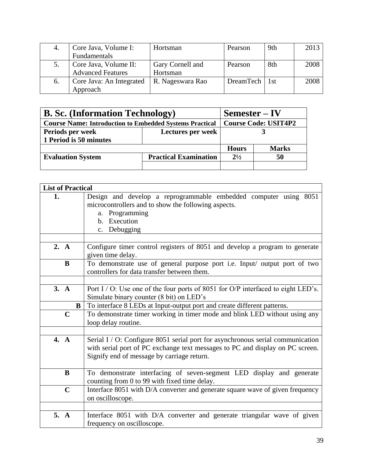|    | Core Java, Volume I:     | Hortsman         | Pearson         | 9th | 2013 |
|----|--------------------------|------------------|-----------------|-----|------|
|    | Fundamentals             |                  |                 |     |      |
|    | Core Java, Volume II:    | Gary Cornell and | Pearson         | 8th | 2008 |
|    | <b>Advanced Features</b> | Hortsman         |                 |     |      |
| 6. | Core Java: An Integrated | R. Nageswara Rao | DreamTech   1st |     | 2008 |
|    | Approach                 |                  |                 |     |      |

| <b>B. Sc.</b> (Information Technology)                         |                              | $Semester - IV$             |              |  |
|----------------------------------------------------------------|------------------------------|-----------------------------|--------------|--|
| <b>Course Name: Introduction to Embedded Systems Practical</b> |                              | <b>Course Code: USIT4P2</b> |              |  |
| Periods per week                                               | Lectures per week            |                             |              |  |
| 1 Period is 50 minutes                                         |                              |                             |              |  |
|                                                                |                              | <b>Hours</b>                | <b>Marks</b> |  |
| <b>Evaluation System</b>                                       | <b>Practical Examination</b> | $2^{1/2}$<br>50             |              |  |
|                                                                |                              |                             |              |  |

| <b>List of Practical</b> |                                                                                  |
|--------------------------|----------------------------------------------------------------------------------|
| 1.                       | Design and develop a reprogrammable embedded computer using 8051                 |
|                          | microcontrollers and to show the following aspects.                              |
|                          | a. Programming                                                                   |
|                          | b. Execution                                                                     |
|                          | Debugging<br>c.                                                                  |
|                          |                                                                                  |
| 2. A                     | Configure timer control registers of 8051 and develop a program to generate      |
|                          | given time delay.                                                                |
| $\bf{B}$                 | To demonstrate use of general purpose port i.e. Input/ output port of two        |
|                          | controllers for data transfer between them.                                      |
|                          |                                                                                  |
| 3. A                     | Port I / O: Use one of the four ports of 8051 for O/P interfaced to eight LED's. |
|                          | Simulate binary counter (8 bit) on LED's                                         |
| B                        | To interface 8 LEDs at Input-output port and create different patterns.          |
| $\mathbf C$              | To demonstrate timer working in timer mode and blink LED without using any       |
|                          | loop delay routine.                                                              |
|                          |                                                                                  |
| 4. A                     | Serial I / O: Configure 8051 serial port for asynchronous serial communication   |
|                          | with serial port of PC exchange text messages to PC and display on PC screen.    |
|                          | Signify end of message by carriage return.                                       |
|                          |                                                                                  |
| B                        | To demonstrate interfacing of seven-segment LED display and generate             |
|                          | counting from 0 to 99 with fixed time delay.                                     |
| $\mathbf C$              | Interface 8051 with D/A converter and generate square wave of given frequency    |
|                          | on oscilloscope.                                                                 |
|                          |                                                                                  |
| 5. A                     | Interface 8051 with D/A converter and generate triangular wave of given          |
|                          | frequency on oscilloscope.                                                       |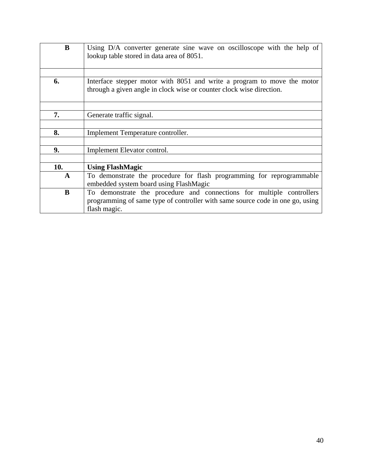| B            | Using D/A converter generate sine wave on oscilloscope with the help of<br>lookup table stored in data area of 8051.                            |
|--------------|-------------------------------------------------------------------------------------------------------------------------------------------------|
|              |                                                                                                                                                 |
| 6.           | Interface stepper motor with 8051 and write a program to move the motor<br>through a given angle in clock wise or counter clock wise direction. |
|              |                                                                                                                                                 |
| 7.           | Generate traffic signal.                                                                                                                        |
|              |                                                                                                                                                 |
| 8.           | Implement Temperature controller.                                                                                                               |
|              |                                                                                                                                                 |
| 9.           | Implement Elevator control.                                                                                                                     |
|              |                                                                                                                                                 |
| 10.          | <b>Using FlashMagic</b>                                                                                                                         |
| $\mathbf{A}$ | To demonstrate the procedure for flash programming for reprogrammable                                                                           |
|              | embedded system board using FlashMagic                                                                                                          |
| B            | To demonstrate the procedure and connections for multiple controllers                                                                           |
|              | programming of same type of controller with same source code in one go, using                                                                   |
|              | flash magic.                                                                                                                                    |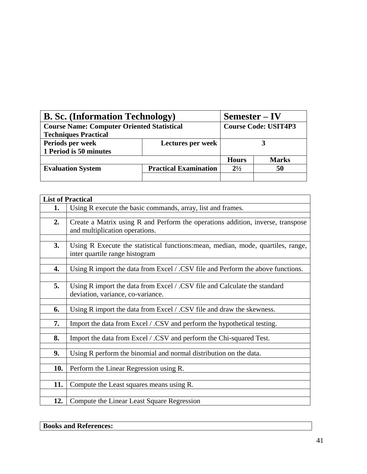| <b>B. Sc.</b> (Information Technology)            | $Semester - IV$              |                             |              |
|---------------------------------------------------|------------------------------|-----------------------------|--------------|
| <b>Course Name: Computer Oriented Statistical</b> |                              | <b>Course Code: USIT4P3</b> |              |
| <b>Techniques Practical</b>                       |                              |                             |              |
| Periods per week                                  | Lectures per week            |                             |              |
| 1 Period is 50 minutes                            |                              |                             |              |
|                                                   |                              | <b>Hours</b>                | <b>Marks</b> |
| <b>Evaluation System</b>                          | <b>Practical Examination</b> | $2^{1/2}$                   | 50           |
|                                                   |                              |                             |              |

|     | <b>List of Practical</b>                                                                                           |
|-----|--------------------------------------------------------------------------------------------------------------------|
| 1.  | Using R execute the basic commands, array, list and frames.                                                        |
|     |                                                                                                                    |
| 2.  | Create a Matrix using R and Perform the operations addition, inverse, transpose                                    |
|     | and multiplication operations.                                                                                     |
|     |                                                                                                                    |
| 3.  | Using R Execute the statistical functions: mean, median, mode, quartiles, range,<br>inter quartile range histogram |
|     |                                                                                                                    |
| 4.  | Using R import the data from Excel / .CSV file and Perform the above functions.                                    |
|     |                                                                                                                    |
| 5.  | Using R import the data from Excel / .CSV file and Calculate the standard                                          |
|     | deviation, variance, co-variance.                                                                                  |
|     |                                                                                                                    |
| 6.  | Using R import the data from Excel / .CSV file and draw the skewness.                                              |
|     |                                                                                                                    |
| 7.  | Import the data from Excel / .CSV and perform the hypothetical testing.                                            |
| 8.  | Import the data from Excel / .CSV and perform the Chi-squared Test.                                                |
|     |                                                                                                                    |
| 9.  | Using R perform the binomial and normal distribution on the data.                                                  |
|     |                                                                                                                    |
| 10. | Perform the Linear Regression using R.                                                                             |
|     |                                                                                                                    |
| 11. | Compute the Least squares means using R.                                                                           |
|     |                                                                                                                    |
| 12. | Compute the Linear Least Square Regression                                                                         |

## **Books and References:**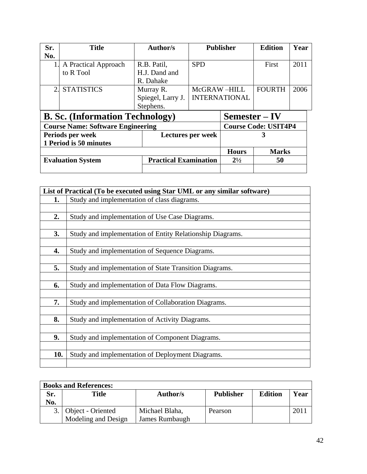| Sr.                                      | <b>Title</b>         | Author/s                     |              | <b>Publisher</b>     | <b>Edition</b>              | Year |
|------------------------------------------|----------------------|------------------------------|--------------|----------------------|-----------------------------|------|
| No.                                      |                      |                              |              |                      |                             |      |
|                                          | A Practical Approach | R.B. Patil,                  | <b>SPD</b>   |                      | First                       | 2011 |
|                                          | to R Tool            | H.J. Dand and                |              |                      |                             |      |
|                                          |                      | R. Dahake                    |              |                      |                             |      |
| 2.                                       | <b>STATISTICS</b>    | Murray R.                    | McGRAW-HILL  |                      | <b>FOURTH</b>               | 2006 |
|                                          |                      | Spiegel, Larry J.            |              | <b>INTERNATIONAL</b> |                             |      |
|                                          |                      | Stephens.                    |              |                      |                             |      |
| <b>B. Sc.</b> (Information Technology)   |                      |                              |              | Semester – IV        |                             |      |
| <b>Course Name: Software Engineering</b> |                      |                              |              |                      | <b>Course Code: USIT4P4</b> |      |
|                                          | Periods per week     | Lectures per week            |              | 3                    |                             |      |
| 1 Period is 50 minutes                   |                      |                              |              |                      |                             |      |
|                                          |                      |                              | <b>Hours</b> | <b>Marks</b>         |                             |      |
| <b>Evaluation System</b>                 |                      | <b>Practical Examination</b> |              | $2^{1/2}$<br>50      |                             |      |
|                                          |                      |                              |              |                      |                             |      |

|     | List of Practical (To be executed using Star UML or any similar software) |
|-----|---------------------------------------------------------------------------|
| 1.  | Study and implementation of class diagrams.                               |
|     |                                                                           |
| 2.  | Study and implementation of Use Case Diagrams.                            |
|     |                                                                           |
| 3.  | Study and implementation of Entity Relationship Diagrams.                 |
|     |                                                                           |
| 4.  | Study and implementation of Sequence Diagrams.                            |
|     |                                                                           |
| 5.  | Study and implementation of State Transition Diagrams.                    |
|     |                                                                           |
| 6.  | Study and implementation of Data Flow Diagrams.                           |
|     |                                                                           |
| 7.  | Study and implementation of Collaboration Diagrams.                       |
|     |                                                                           |
| 8.  | Study and implementation of Activity Diagrams.                            |
|     |                                                                           |
| 9.  | Study and implementation of Component Diagrams.                           |
|     |                                                                           |
| 10. | Study and implementation of Deployment Diagrams.                          |
|     |                                                                           |

| <b>Books and References:</b> |                      |                |                  |                |      |
|------------------------------|----------------------|----------------|------------------|----------------|------|
| Sr.                          | <b>Title</b>         | Author/s       | <b>Publisher</b> | <b>Edition</b> | Year |
| No.                          |                      |                |                  |                |      |
|                              | 3. Object - Oriented | Michael Blaha, | Pearson          |                | 201  |
|                              | Modeling and Design  | James Rumbaugh |                  |                |      |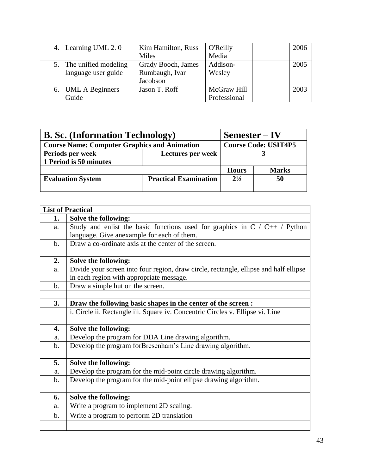| 4. | Learning UML 2.0       | Kim Hamilton, Russ | <b>O'Reilly</b> | 2006 |
|----|------------------------|--------------------|-----------------|------|
|    |                        | Miles              | Media           |      |
| 5. | The unified modeling   | Grady Booch, James | Addison-        | 2005 |
|    | language user guide    | Rumbaugh, Ivar     | Wesley          |      |
|    |                        | Jacobson           |                 |      |
| 6. | <b>UML A Beginners</b> | Jason T. Roff      | McGraw Hill     | 2003 |
|    | Guide                  |                    | Professional    |      |

| <b>B. Sc.</b> (Information Technology)              | $Semester - IV$              |              |              |
|-----------------------------------------------------|------------------------------|--------------|--------------|
| <b>Course Name: Computer Graphics and Animation</b> | <b>Course Code: USIT4P5</b>  |              |              |
| Periods per week                                    | Lectures per week            |              |              |
| 1 Period is 50 minutes                              |                              |              |              |
|                                                     |                              | <b>Hours</b> | <b>Marks</b> |
| <b>Evaluation System</b>                            | <b>Practical Examination</b> | $2^{1/2}$    | 50           |
|                                                     |                              |              |              |

|               | <b>List of Practical</b>                                                                                                          |
|---------------|-----------------------------------------------------------------------------------------------------------------------------------|
| 1.            | Solve the following:                                                                                                              |
| a.            | Study and enlist the basic functions used for graphics in $C / C_{++} /$ Python<br>language. Give anexample for each of them.     |
| $\mathbf b$ . | Draw a co-ordinate axis at the center of the screen.                                                                              |
|               |                                                                                                                                   |
| 2.            | Solve the following:                                                                                                              |
|               |                                                                                                                                   |
| a.            | Divide your screen into four region, draw circle, rectangle, ellipse and half ellipse<br>in each region with appropriate message. |
| $\mathbf b$ . | Draw a simple hut on the screen.                                                                                                  |
|               |                                                                                                                                   |
| 3.            | Draw the following basic shapes in the center of the screen :                                                                     |
|               | i. Circle ii. Rectangle iii. Square iv. Concentric Circles v. Ellipse vi. Line                                                    |
| 4.            | Solve the following:                                                                                                              |
| a.            | Develop the program for DDA Line drawing algorithm.                                                                               |
| b.            | Develop the program forBresenham's Line drawing algorithm.                                                                        |
|               |                                                                                                                                   |
| 5.            | <b>Solve the following:</b>                                                                                                       |
| a.            | Develop the program for the mid-point circle drawing algorithm.                                                                   |
| $\mathbf b$ . | Develop the program for the mid-point ellipse drawing algorithm.                                                                  |
|               |                                                                                                                                   |
| 6.            | Solve the following:                                                                                                              |
| a.            | Write a program to implement 2D scaling.                                                                                          |
| $\mathbf b$ . | Write a program to perform 2D translation                                                                                         |
|               |                                                                                                                                   |